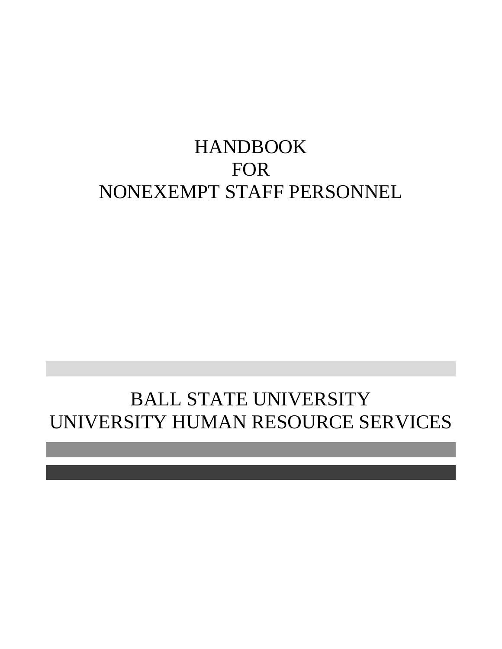## HANDBOOK FOR NONEXEMPT STAFF PERSONNEL

# BALL STATE UNIVERSITY UNIVERSITY HUMAN RESOURCE SERVICES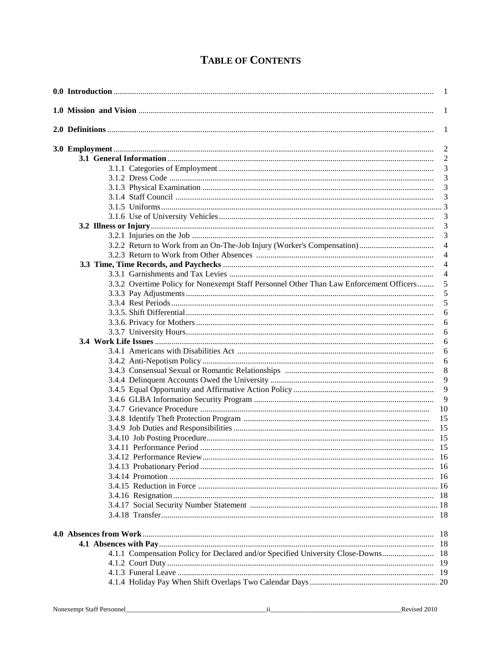## **TABLE OF CONTENTS**

|  |                                                                                         | -1             |
|--|-----------------------------------------------------------------------------------------|----------------|
|  |                                                                                         | 1              |
|  |                                                                                         | 1              |
|  |                                                                                         | 2              |
|  |                                                                                         | $\overline{2}$ |
|  |                                                                                         | 3              |
|  |                                                                                         | 3              |
|  |                                                                                         | 3              |
|  |                                                                                         |                |
|  |                                                                                         |                |
|  |                                                                                         | 3              |
|  |                                                                                         | 3              |
|  |                                                                                         | 3              |
|  |                                                                                         | $\overline{4}$ |
|  |                                                                                         | $\overline{4}$ |
|  |                                                                                         | $\overline{4}$ |
|  |                                                                                         | $\overline{4}$ |
|  | 3.3.2 Overtime Policy for Nonexempt Staff Personnel Other Than Law Enforcement Officers | 5              |
|  |                                                                                         | 5              |
|  |                                                                                         | 5              |
|  |                                                                                         | 6              |
|  |                                                                                         | 6              |
|  |                                                                                         | 6              |
|  |                                                                                         | 6              |
|  |                                                                                         | 6              |
|  |                                                                                         | 6              |
|  |                                                                                         | 8              |
|  |                                                                                         | 9              |
|  |                                                                                         | 9              |
|  |                                                                                         | 9              |
|  |                                                                                         | 10             |
|  |                                                                                         | 15             |
|  |                                                                                         |                |
|  |                                                                                         |                |
|  |                                                                                         |                |
|  |                                                                                         |                |
|  |                                                                                         |                |
|  |                                                                                         |                |
|  |                                                                                         |                |
|  |                                                                                         |                |
|  |                                                                                         |                |
|  |                                                                                         |                |
|  |                                                                                         |                |
|  |                                                                                         |                |
|  | 4.1.1 Compensation Policy for Declared and/or Specified University Close-Downs 18       |                |
|  |                                                                                         |                |
|  |                                                                                         |                |
|  |                                                                                         |                |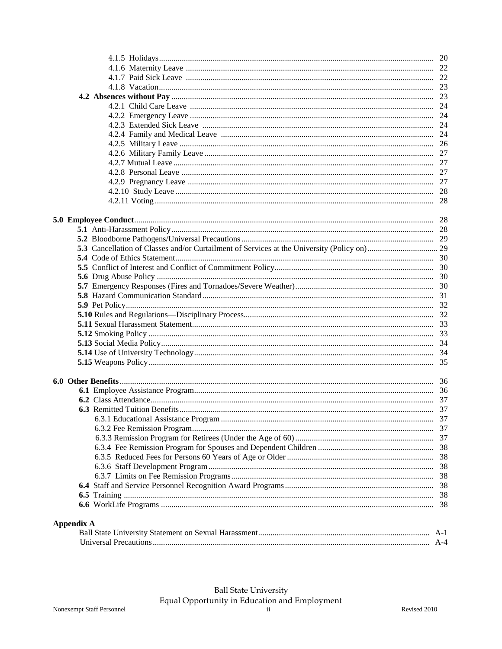| <b>Appendix A</b> |  |
|-------------------|--|
|                   |  |

# Ball State University<br>Equal Opportunity in Education and Employment

|                                 | ___ | Laan obbolaani ni Laaniisi min Liiloo muun | ______ |
|---------------------------------|-----|--------------------------------------------|--------|
| Nonexempt.<br>Personne<br>Statt |     |                                            |        |
|                                 |     |                                            |        |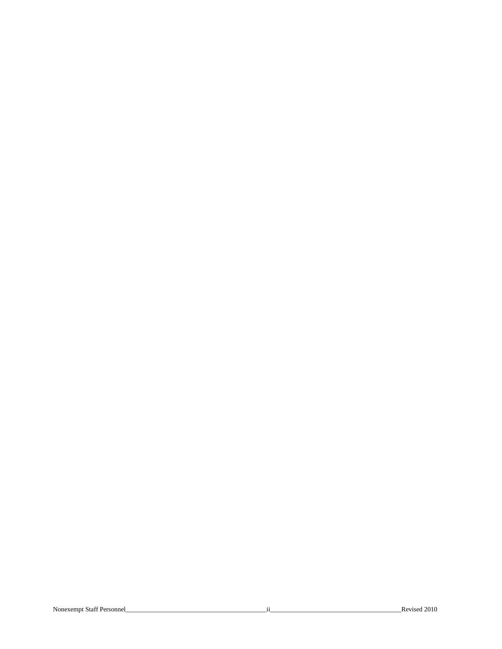#### Nonexempt Staff Personnel\_\_\_\_\_\_\_\_\_\_\_\_\_\_\_\_\_\_\_\_\_\_\_\_\_\_\_\_\_\_\_\_\_\_\_\_\_\_\_\_\_\_\_ii\_\_\_\_\_\_\_\_\_\_\_\_\_\_\_\_\_\_\_\_\_\_\_\_\_\_\_\_\_\_\_\_\_\_\_\_\_\_\_\_Revised 2010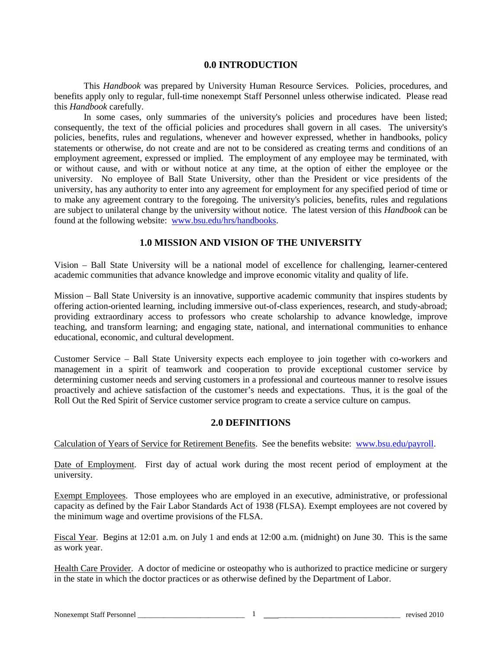## **0.0 INTRODUCTION**

This *Handbook* was prepared by University Human Resource Services. Policies, procedures, and benefits apply only to regular, full-time nonexempt Staff Personnel unless otherwise indicated. Please read this *Handbook* carefully.

In some cases, only summaries of the university's policies and procedures have been listed; consequently, the text of the official policies and procedures shall govern in all cases. The university's policies, benefits, rules and regulations, whenever and however expressed, whether in handbooks, policy statements or otherwise, do not create and are not to be considered as creating terms and conditions of an employment agreement, expressed or implied. The employment of any employee may be terminated, with or without cause, and with or without notice at any time, at the option of either the employee or the university. No employee of Ball State University, other than the President or vice presidents of the university, has any authority to enter into any agreement for employment for any specified period of time or to make any agreement contrary to the foregoing. The university's policies, benefits, rules and regulations are subject to unilateral change by the university without notice. The latest version of this *Handbook* can be found at the following website: [www.bsu.edu/hrs/handbooks.](http://www.bsu.edu/hrs/handbooks)

## **1.0 MISSION AND VISION OF THE UNIVERSITY**

Vision – Ball State University will be a national model of excellence for challenging, learner-centered academic communities that advance knowledge and improve economic vitality and quality of life.

Mission – Ball State University is an innovative, supportive academic community that inspires students by offering action-oriented learning, including immersive out-of-class experiences, research, and study-abroad; providing extraordinary access to professors who create scholarship to advance knowledge, improve teaching, and transform learning; and engaging state, national, and international communities to enhance educational, economic, and cultural development.

Customer Service – Ball State University expects each employee to join together with co-workers and management in a spirit of teamwork and cooperation to provide exceptional customer service by determining customer needs and serving customers in a professional and courteous manner to resolve issues proactively and achieve satisfaction of the customer's needs and expectations. Thus, it is the goal of the Roll Out the Red Spirit of Service customer service program to create a service culture on campus.

## **2.0 DEFINITIONS**

Calculation of Years of Service for Retirement Benefits. See the benefits website: [www.bsu.edu/payroll.](http://www.bsu.edu/payroll)

Date of Employment. First day of actual work during the most recent period of employment at the university.

Exempt Employees. Those employees who are employed in an executive, administrative, or professional capacity as defined by the Fair Labor Standards Act of 1938 (FLSA). Exempt employees are not covered by the minimum wage and overtime provisions of the FLSA.

Fiscal Year. Begins at 12:01 a.m. on July 1 and ends at 12:00 a.m. (midnight) on June 30. This is the same as work year.

Health Care Provider. A doctor of medicine or osteopathy who is authorized to practice medicine or surgery in the state in which the doctor practices or as otherwise defined by the Department of Labor.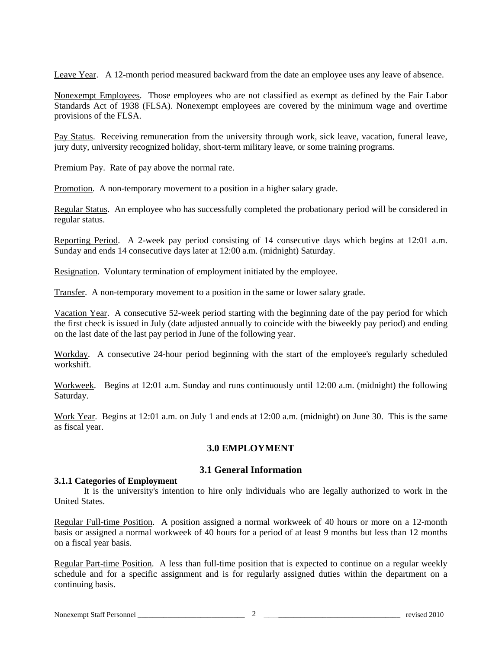Leave Year. A 12-month period measured backward from the date an employee uses any leave of absence.

Nonexempt Employees. Those employees who are not classified as exempt as defined by the Fair Labor Standards Act of 1938 (FLSA). Nonexempt employees are covered by the minimum wage and overtime provisions of the FLSA.

Pay Status. Receiving remuneration from the university through work, sick leave, vacation, funeral leave, jury duty, university recognized holiday, short-term military leave, or some training programs.

Premium Pay. Rate of pay above the normal rate.

Promotion. A non-temporary movement to a position in a higher salary grade.

Regular Status. An employee who has successfully completed the probationary period will be considered in regular status.

Reporting Period. A 2-week pay period consisting of 14 consecutive days which begins at 12:01 a.m. Sunday and ends 14 consecutive days later at 12:00 a.m. (midnight) Saturday.

Resignation. Voluntary termination of employment initiated by the employee.

Transfer. A non-temporary movement to a position in the same or lower salary grade.

Vacation Year. A consecutive 52-week period starting with the beginning date of the pay period for which the first check is issued in July (date adjusted annually to coincide with the biweekly pay period) and ending on the last date of the last pay period in June of the following year.

Workday. A consecutive 24-hour period beginning with the start of the employee's regularly scheduled workshift.

Workweek. Begins at 12:01 a.m. Sunday and runs continuously until 12:00 a.m. (midnight) the following Saturday.

Work Year. Begins at 12:01 a.m. on July 1 and ends at 12:00 a.m. (midnight) on June 30. This is the same as fiscal year.

## **3.0 EMPLOYMENT**

## **3.1 General Information**

## **3.1.1 Categories of Employment**

It is the university's intention to hire only individuals who are legally authorized to work in the United States.

Regular Full-time Position. A position assigned a normal workweek of 40 hours or more on a 12-month basis or assigned a normal workweek of 40 hours for a period of at least 9 months but less than 12 months on a fiscal year basis.

Regular Part-time Position. A less than full-time position that is expected to continue on a regular weekly schedule and for a specific assignment and is for regularly assigned duties within the department on a continuing basis.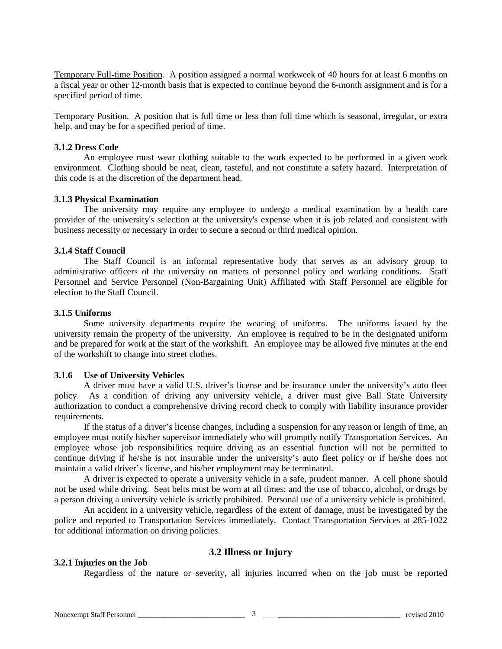Temporary Full-time Position. A position assigned a normal workweek of 40 hours for at least 6 months on a fiscal year or other 12-month basis that is expected to continue beyond the 6-month assignment and is for a specified period of time.

Temporary Position. A position that is full time or less than full time which is seasonal, irregular, or extra help, and may be for a specified period of time.

### **3.1.2 Dress Code**

An employee must wear clothing suitable to the work expected to be performed in a given work environment. Clothing should be neat, clean, tasteful, and not constitute a safety hazard. Interpretation of this code is at the discretion of the department head.

#### **3.1.3 Physical Examination**

The university may require any employee to undergo a medical examination by a health care provider of the university's selection at the university's expense when it is job related and consistent with business necessity or necessary in order to secure a second or third medical opinion.

## **3.1.4 Staff Council**

The Staff Council is an informal representative body that serves as an advisory group to administrative officers of the university on matters of personnel policy and working conditions. Staff Personnel and Service Personnel (Non-Bargaining Unit) Affiliated with Staff Personnel are eligible for election to the Staff Council.

#### **3.1.5 Uniforms**

Some university departments require the wearing of uniforms. The uniforms issued by the university remain the property of the university. An employee is required to be in the designated uniform and be prepared for work at the start of the workshift. An employee may be allowed five minutes at the end of the workshift to change into street clothes.

## **3.1.6 Use of University Vehicles**

A driver must have a valid U.S. driver's license and be insurance under the university's auto fleet policy. As a condition of driving any university vehicle, a driver must give Ball State University authorization to conduct a comprehensive driving record check to comply with liability insurance provider requirements.

If the status of a driver's license changes, including a suspension for any reason or length of time, an employee must notify his/her supervisor immediately who will promptly notify Transportation Services. An employee whose job responsibilities require driving as an essential function will not be permitted to continue driving if he/she is not insurable under the university's auto fleet policy or if he/she does not maintain a valid driver's license, and his/her employment may be terminated.

A driver is expected to operate a university vehicle in a safe, prudent manner. A cell phone should not be used while driving. Seat belts must be worn at all times; and the use of tobacco, alcohol, or drugs by a person driving a university vehicle is strictly prohibited. Personal use of a university vehicle is prohibited.

An accident in a university vehicle, regardless of the extent of damage, must be investigated by the police and reported to Transportation Services immediately. Contact Transportation Services at 285-1022 for additional information on driving policies.

## **3.2 Illness or Injury**

## **3.2.1 Injuries on the Job**

Regardless of the nature or severity, all injuries incurred when on the job must be reported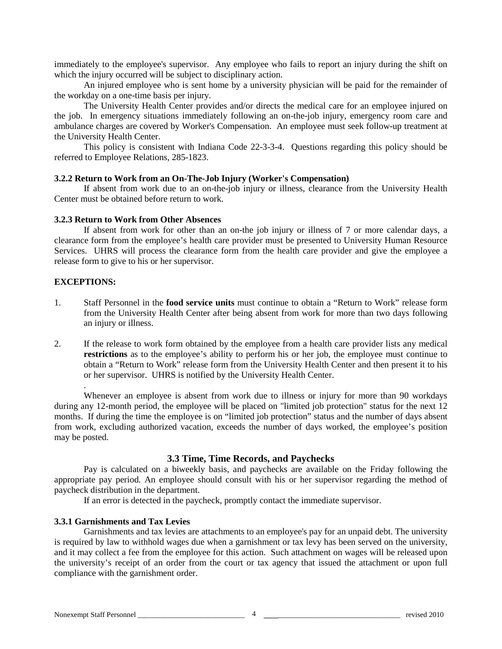immediately to the employee's supervisor. Any employee who fails to report an injury during the shift on which the injury occurred will be subject to disciplinary action.

An injured employee who is sent home by a university physician will be paid for the remainder of the workday on a one-time basis per injury.

The University Health Center provides and/or directs the medical care for an employee injured on the job. In emergency situations immediately following an on-the-job injury, emergency room care and ambulance charges are covered by Worker's Compensation. An employee must seek follow-up treatment at the University Health Center.

This policy is consistent with Indiana Code 22-3-3-4. Questions regarding this policy should be referred to Employee Relations, 285-1823.

## **3.2.2 Return to Work from an On-The-Job Injury (Worker's Compensation)**

If absent from work due to an on-the-job injury or illness, clearance from the University Health Center must be obtained before return to work.

#### **3.2.3 Return to Work from Other Absences**

If absent from work for other than an on-the job injury or illness of 7 or more calendar days, a clearance form from the employee's health care provider must be presented to University Human Resource Services. UHRS will process the clearance form from the health care provider and give the employee a release form to give to his or her supervisor.

## **EXCEPTIONS:**

.

- 1. Staff Personnel in the **food service units** must continue to obtain a "Return to Work" release form from the University Health Center after being absent from work for more than two days following an injury or illness.
- 2. If the release to work form obtained by the employee from a health care provider lists any medical **restrictions** as to the employee's ability to perform his or her job, the employee must continue to obtain a "Return to Work" release form from the University Health Center and then present it to his or her supervisor. UHRS is notified by the University Health Center.

Whenever an employee is absent from work due to illness or injury for more than 90 workdays during any 12-month period, the employee will be placed on "limited job protection" status for the next 12 months. If during the time the employee is on "limited job protection" status and the number of days absent from work, excluding authorized vacation, exceeds the number of days worked, the employee's position may be posted.

## **3.3 Time, Time Records, and Paychecks**

Pay is calculated on a biweekly basis, and paychecks are available on the Friday following the appropriate pay period. An employee should consult with his or her supervisor regarding the method of paycheck distribution in the department.

If an error is detected in the paycheck, promptly contact the immediate supervisor.

## **3.3.1 Garnishments and Tax Levies**

Garnishments and tax levies are attachments to an employee's pay for an unpaid debt. The university is required by law to withhold wages due when a garnishment or tax levy has been served on the university, and it may collect a fee from the employee for this action. Such attachment on wages will be released upon the university's receipt of an order from the court or tax agency that issued the attachment or upon full compliance with the garnishment order.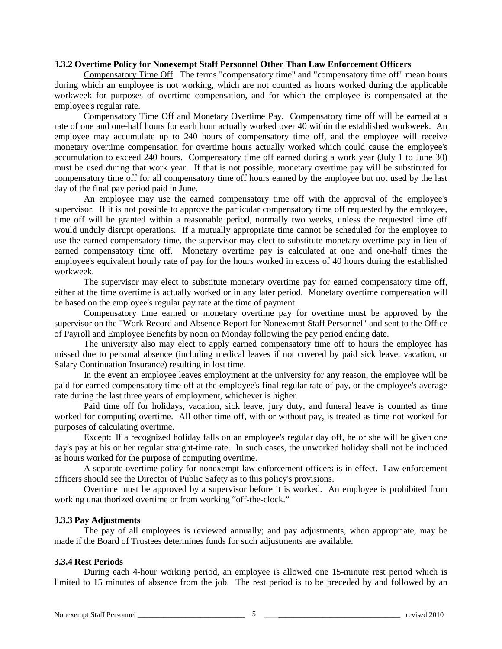#### **3.3.2 Overtime Policy for Nonexempt Staff Personnel Other Than Law Enforcement Officers**

Compensatory Time Off. The terms "compensatory time" and "compensatory time off" mean hours during which an employee is not working, which are not counted as hours worked during the applicable workweek for purposes of overtime compensation, and for which the employee is compensated at the employee's regular rate.

Compensatory Time Off and Monetary Overtime Pay. Compensatory time off will be earned at a rate of one and one-half hours for each hour actually worked over 40 within the established workweek. An employee may accumulate up to 240 hours of compensatory time off, and the employee will receive monetary overtime compensation for overtime hours actually worked which could cause the employee's accumulation to exceed 240 hours. Compensatory time off earned during a work year (July 1 to June 30) must be used during that work year. If that is not possible, monetary overtime pay will be substituted for compensatory time off for all compensatory time off hours earned by the employee but not used by the last day of the final pay period paid in June.

An employee may use the earned compensatory time off with the approval of the employee's supervisor. If it is not possible to approve the particular compensatory time off requested by the employee, time off will be granted within a reasonable period, normally two weeks, unless the requested time off would unduly disrupt operations. If a mutually appropriate time cannot be scheduled for the employee to use the earned compensatory time, the supervisor may elect to substitute monetary overtime pay in lieu of earned compensatory time off. Monetary overtime pay is calculated at one and one-half times the employee's equivalent hourly rate of pay for the hours worked in excess of 40 hours during the established workweek.

The supervisor may elect to substitute monetary overtime pay for earned compensatory time off, either at the time overtime is actually worked or in any later period. Monetary overtime compensation will be based on the employee's regular pay rate at the time of payment.

Compensatory time earned or monetary overtime pay for overtime must be approved by the supervisor on the "Work Record and Absence Report for Nonexempt Staff Personnel" and sent to the Office of Payroll and Employee Benefits by noon on Monday following the pay period ending date.

The university also may elect to apply earned compensatory time off to hours the employee has missed due to personal absence (including medical leaves if not covered by paid sick leave, vacation, or Salary Continuation Insurance) resulting in lost time.

In the event an employee leaves employment at the university for any reason, the employee will be paid for earned compensatory time off at the employee's final regular rate of pay, or the employee's average rate during the last three years of employment, whichever is higher.

Paid time off for holidays, vacation, sick leave, jury duty, and funeral leave is counted as time worked for computing overtime. All other time off, with or without pay, is treated as time not worked for purposes of calculating overtime.

Except: If a recognized holiday falls on an employee's regular day off, he or she will be given one day's pay at his or her regular straight-time rate. In such cases, the unworked holiday shall not be included as hours worked for the purpose of computing overtime.

A separate overtime policy for nonexempt law enforcement officers is in effect. Law enforcement officers should see the Director of Public Safety as to this policy's provisions.

Overtime must be approved by a supervisor before it is worked. An employee is prohibited from working unauthorized overtime or from working "off-the-clock."

#### **3.3.3 Pay Adjustments**

The pay of all employees is reviewed annually; and pay adjustments, when appropriate, may be made if the Board of Trustees determines funds for such adjustments are available.

#### **3.3.4 Rest Periods**

During each 4-hour working period, an employee is allowed one 15-minute rest period which is limited to 15 minutes of absence from the job. The rest period is to be preceded by and followed by an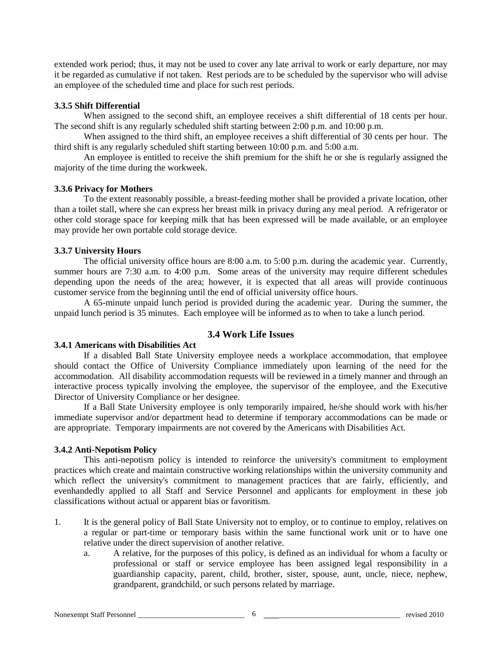extended work period; thus, it may not be used to cover any late arrival to work or early departure, nor may it be regarded as cumulative if not taken. Rest periods are to be scheduled by the supervisor who will advise an employee of the scheduled time and place for such rest periods.

## **3.3.5 Shift Differential**

When assigned to the second shift, an employee receives a shift differential of 18 cents per hour. The second shift is any regularly scheduled shift starting between 2:00 p.m. and 10:00 p.m.

When assigned to the third shift, an employee receives a shift differential of 30 cents per hour. The third shift is any regularly scheduled shift starting between 10:00 p.m. and 5:00 a.m.

An employee is entitled to receive the shift premium for the shift he or she is regularly assigned the majority of the time during the workweek.

## **3.3.6 Privacy for Mothers**

To the extent reasonably possible, a breast-feeding mother shall be provided a private location, other than a toilet stall, where she can express her breast milk in privacy during any meal period. A refrigerator or other cold storage space for keeping milk that has been expressed will be made available, or an employee may provide her own portable cold storage device.

## **3.3.7 University Hours**

The official university office hours are 8:00 a.m. to 5:00 p.m. during the academic year. Currently, summer hours are 7:30 a.m. to 4:00 p.m. Some areas of the university may require different schedules depending upon the needs of the area; however, it is expected that all areas will provide continuous customer service from the beginning until the end of official university office hours.

A 65-minute unpaid lunch period is provided during the academic year. During the summer, the unpaid lunch period is 35 minutes. Each employee will be informed as to when to take a lunch period.

## **3.4 Work Life Issues**

## **3.4.1 Americans with Disabilities Act**

If a disabled Ball State University employee needs a workplace accommodation, that employee should contact the Office of University Compliance immediately upon learning of the need for the accommodation. All disability accommodation requests will be reviewed in a timely manner and through an interactive process typically involving the employee, the supervisor of the employee, and the Executive Director of University Compliance or her designee.

If a Ball State University employee is only temporarily impaired, he/she should work with his/her immediate supervisor and/or department head to determine if temporary accommodations can be made or are appropriate. Temporary impairments are not covered by the Americans with Disabilities Act.

## **3.4.2 Anti-Nepotism Policy**

This anti-nepotism policy is intended to reinforce the university's commitment to employment practices which create and maintain constructive working relationships within the university community and which reflect the university's commitment to management practices that are fairly, efficiently, and evenhandedly applied to all Staff and Service Personnel and applicants for employment in these job classifications without actual or apparent bias or favoritism.

- 1. It is the general policy of Ball State University not to employ, or to continue to employ, relatives on a regular or part-time or temporary basis within the same functional work unit or to have one relative under the direct supervision of another relative.
	- a. A relative, for the purposes of this policy, is defined as an individual for whom a faculty or professional or staff or service employee has been assigned legal responsibility in a guardianship capacity, parent, child, brother, sister, spouse, aunt, uncle, niece, nephew, grandparent, grandchild, or such persons related by marriage.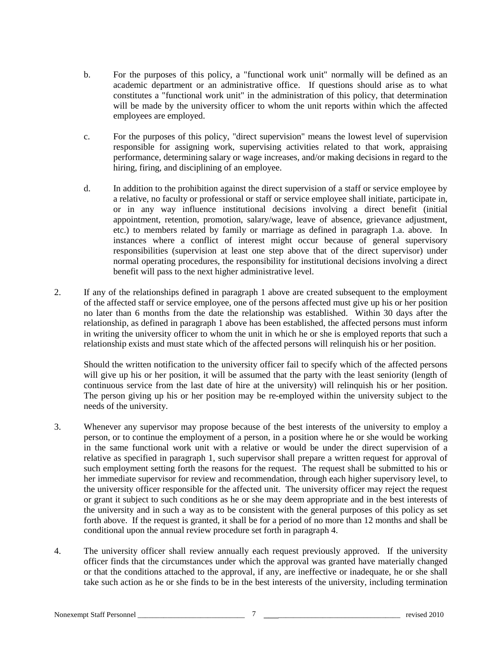- b. For the purposes of this policy, a "functional work unit" normally will be defined as an academic department or an administrative office. If questions should arise as to what constitutes a "functional work unit" in the administration of this policy, that determination will be made by the university officer to whom the unit reports within which the affected employees are employed.
- c. For the purposes of this policy, "direct supervision" means the lowest level of supervision responsible for assigning work, supervising activities related to that work, appraising performance, determining salary or wage increases, and/or making decisions in regard to the hiring, firing, and disciplining of an employee.
- d. In addition to the prohibition against the direct supervision of a staff or service employee by a relative, no faculty or professional or staff or service employee shall initiate, participate in, or in any way influence institutional decisions involving a direct benefit (initial appointment, retention, promotion, salary/wage, leave of absence, grievance adjustment, etc.) to members related by family or marriage as defined in paragraph 1.a. above. In instances where a conflict of interest might occur because of general supervisory responsibilities (supervision at least one step above that of the direct supervisor) under normal operating procedures, the responsibility for institutional decisions involving a direct benefit will pass to the next higher administrative level.
- 2. If any of the relationships defined in paragraph 1 above are created subsequent to the employment of the affected staff or service employee, one of the persons affected must give up his or her position no later than 6 months from the date the relationship was established. Within 30 days after the relationship, as defined in paragraph 1 above has been established, the affected persons must inform in writing the university officer to whom the unit in which he or she is employed reports that such a relationship exists and must state which of the affected persons will relinquish his or her position.

Should the written notification to the university officer fail to specify which of the affected persons will give up his or her position, it will be assumed that the party with the least seniority (length of continuous service from the last date of hire at the university) will relinquish his or her position. The person giving up his or her position may be re-employed within the university subject to the needs of the university.

- 3. Whenever any supervisor may propose because of the best interests of the university to employ a person, or to continue the employment of a person, in a position where he or she would be working in the same functional work unit with a relative or would be under the direct supervision of a relative as specified in paragraph 1, such supervisor shall prepare a written request for approval of such employment setting forth the reasons for the request. The request shall be submitted to his or her immediate supervisor for review and recommendation, through each higher supervisory level, to the university officer responsible for the affected unit. The university officer may reject the request or grant it subject to such conditions as he or she may deem appropriate and in the best interests of the university and in such a way as to be consistent with the general purposes of this policy as set forth above. If the request is granted, it shall be for a period of no more than 12 months and shall be conditional upon the annual review procedure set forth in paragraph 4.
- 4. The university officer shall review annually each request previously approved. If the university officer finds that the circumstances under which the approval was granted have materially changed or that the conditions attached to the approval, if any, are ineffective or inadequate, he or she shall take such action as he or she finds to be in the best interests of the university, including termination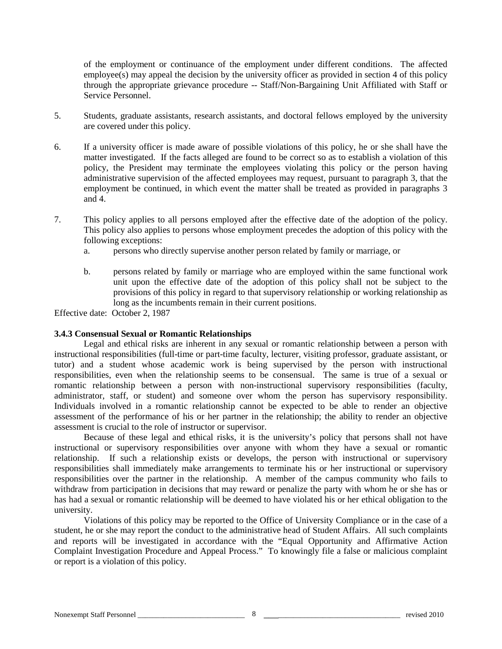of the employment or continuance of the employment under different conditions. The affected employee(s) may appeal the decision by the university officer as provided in section 4 of this policy through the appropriate grievance procedure -- Staff/Non-Bargaining Unit Affiliated with Staff or Service Personnel.

- 5. Students, graduate assistants, research assistants, and doctoral fellows employed by the university are covered under this policy.
- 6. If a university officer is made aware of possible violations of this policy, he or she shall have the matter investigated. If the facts alleged are found to be correct so as to establish a violation of this policy, the President may terminate the employees violating this policy or the person having administrative supervision of the affected employees may request, pursuant to paragraph 3, that the employment be continued, in which event the matter shall be treated as provided in paragraphs 3 and  $4.$
- 7. This policy applies to all persons employed after the effective date of the adoption of the policy. This policy also applies to persons whose employment precedes the adoption of this policy with the following exceptions:
	- a. persons who directly supervise another person related by family or marriage, or
	- b. persons related by family or marriage who are employed within the same functional work unit upon the effective date of the adoption of this policy shall not be subject to the provisions of this policy in regard to that supervisory relationship or working relationship as long as the incumbents remain in their current positions.

Effective date: October 2, 1987

## **3.4.3 Consensual Sexual or Romantic Relationships**

Legal and ethical risks are inherent in any sexual or romantic relationship between a person with instructional responsibilities (full-time or part-time faculty, lecturer, visiting professor, graduate assistant, or tutor) and a student whose academic work is being supervised by the person with instructional responsibilities, even when the relationship seems to be consensual. The same is true of a sexual or romantic relationship between a person with non-instructional supervisory responsibilities (faculty, administrator, staff, or student) and someone over whom the person has supervisory responsibility. Individuals involved in a romantic relationship cannot be expected to be able to render an objective assessment of the performance of his or her partner in the relationship; the ability to render an objective assessment is crucial to the role of instructor or supervisor.

Because of these legal and ethical risks, it is the university's policy that persons shall not have instructional or supervisory responsibilities over anyone with whom they have a sexual or romantic relationship. If such a relationship exists or develops, the person with instructional or supervisory responsibilities shall immediately make arrangements to terminate his or her instructional or supervisory responsibilities over the partner in the relationship. A member of the campus community who fails to withdraw from participation in decisions that may reward or penalize the party with whom he or she has or has had a sexual or romantic relationship will be deemed to have violated his or her ethical obligation to the university.

Violations of this policy may be reported to the Office of University Compliance or in the case of a student, he or she may report the conduct to the administrative head of Student Affairs. All such complaints and reports will be investigated in accordance with the "Equal Opportunity and Affirmative Action Complaint Investigation Procedure and Appeal Process." To knowingly file a false or malicious complaint or report is a violation of this policy.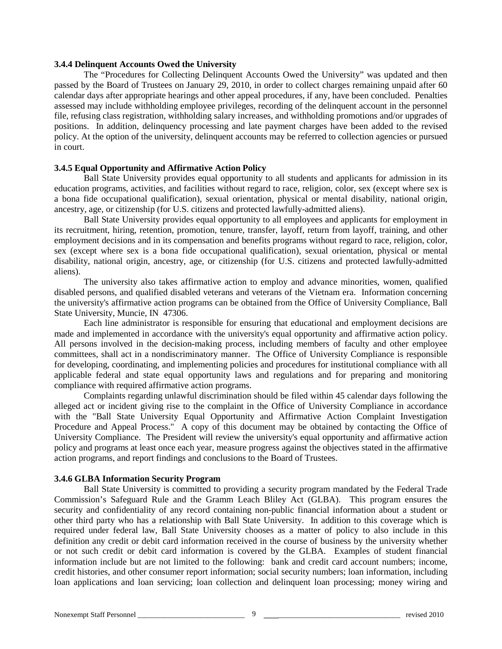#### **3.4.4 Delinquent Accounts Owed the University**

The "Procedures for Collecting Delinquent Accounts Owed the University" was updated and then passed by the Board of Trustees on January 29, 2010, in order to collect charges remaining unpaid after 60 calendar days after appropriate hearings and other appeal procedures, if any, have been concluded. Penalties assessed may include withholding employee privileges, recording of the delinquent account in the personnel file, refusing class registration, withholding salary increases, and withholding promotions and/or upgrades of positions. In addition, delinquency processing and late payment charges have been added to the revised policy. At the option of the university, delinquent accounts may be referred to collection agencies or pursued in court.

## **3.4.5 Equal Opportunity and Affirmative Action Policy**

Ball State University provides equal opportunity to all students and applicants for admission in its education programs, activities, and facilities without regard to race, religion, color, sex (except where sex is a bona fide occupational qualification), sexual orientation, physical or mental disability, national origin, ancestry, age, or citizenship (for U.S. citizens and protected lawfully-admitted aliens).

Ball State University provides equal opportunity to all employees and applicants for employment in its recruitment, hiring, retention, promotion, tenure, transfer, layoff, return from layoff, training, and other employment decisions and in its compensation and benefits programs without regard to race, religion, color, sex (except where sex is a bona fide occupational qualification), sexual orientation, physical or mental disability, national origin, ancestry, age, or citizenship (for U.S. citizens and protected lawfully-admitted aliens).

The university also takes affirmative action to employ and advance minorities, women, qualified disabled persons, and qualified disabled veterans and veterans of the Vietnam era. Information concerning the university's affirmative action programs can be obtained from the Office of University Compliance, Ball State University, Muncie, IN 47306.

Each line administrator is responsible for ensuring that educational and employment decisions are made and implemented in accordance with the university's equal opportunity and affirmative action policy. All persons involved in the decision-making process, including members of faculty and other employee committees, shall act in a nondiscriminatory manner. The Office of University Compliance is responsible for developing, coordinating, and implementing policies and procedures for institutional compliance with all applicable federal and state equal opportunity laws and regulations and for preparing and monitoring compliance with required affirmative action programs.

Complaints regarding unlawful discrimination should be filed within 45 calendar days following the alleged act or incident giving rise to the complaint in the Office of University Compliance in accordance with the "Ball State University Equal Opportunity and Affirmative Action Complaint Investigation Procedure and Appeal Process." A copy of this document may be obtained by contacting the Office of University Compliance. The President will review the university's equal opportunity and affirmative action policy and programs at least once each year, measure progress against the objectives stated in the affirmative action programs, and report findings and conclusions to the Board of Trustees.

## **3.4.6 GLBA Information Security Program**

Ball State University is committed to providing a security program mandated by the Federal Trade Commission's Safeguard Rule and the Gramm Leach Bliley Act (GLBA). This program ensures the security and confidentiality of any record containing non-public financial information about a student or other third party who has a relationship with Ball State University. In addition to this coverage which is required under federal law, Ball State University chooses as a matter of policy to also include in this definition any credit or debit card information received in the course of business by the university whether or not such credit or debit card information is covered by the GLBA. Examples of student financial information include but are not limited to the following: bank and credit card account numbers; income, credit histories, and other consumer report information; social security numbers; loan information, including loan applications and loan servicing; loan collection and delinquent loan processing; money wiring and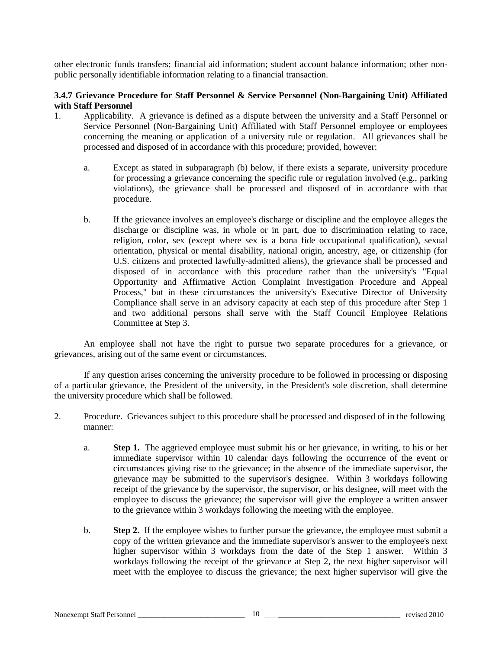other electronic funds transfers; financial aid information; student account balance information; other nonpublic personally identifiable information relating to a financial transaction.

## **3.4.7 Grievance Procedure for Staff Personnel & Service Personnel (Non-Bargaining Unit) Affiliated with Staff Personnel**

- 1. Applicability. A grievance is defined as a dispute between the university and a Staff Personnel or Service Personnel (Non-Bargaining Unit) Affiliated with Staff Personnel employee or employees concerning the meaning or application of a university rule or regulation. All grievances shall be processed and disposed of in accordance with this procedure; provided, however:
	- a. Except as stated in subparagraph (b) below, if there exists a separate, university procedure for processing a grievance concerning the specific rule or regulation involved (e.g., parking violations), the grievance shall be processed and disposed of in accordance with that procedure.
	- b. If the grievance involves an employee's discharge or discipline and the employee alleges the discharge or discipline was, in whole or in part, due to discrimination relating to race, religion, color, sex (except where sex is a bona fide occupational qualification), sexual orientation, physical or mental disability, national origin, ancestry, age, or citizenship (for U.S. citizens and protected lawfully-admitted aliens), the grievance shall be processed and disposed of in accordance with this procedure rather than the university's "Equal Opportunity and Affirmative Action Complaint Investigation Procedure and Appeal Process," but in these circumstances the university's Executive Director of University Compliance shall serve in an advisory capacity at each step of this procedure after Step 1 and two additional persons shall serve with the Staff Council Employee Relations Committee at Step 3.

An employee shall not have the right to pursue two separate procedures for a grievance, or grievances, arising out of the same event or circumstances.

If any question arises concerning the university procedure to be followed in processing or disposing of a particular grievance, the President of the university, in the President's sole discretion, shall determine the university procedure which shall be followed.

- 2. Procedure. Grievances subject to this procedure shall be processed and disposed of in the following manner:
	- a. **Step 1.** The aggrieved employee must submit his or her grievance, in writing, to his or her immediate supervisor within 10 calendar days following the occurrence of the event or circumstances giving rise to the grievance; in the absence of the immediate supervisor, the grievance may be submitted to the supervisor's designee. Within 3 workdays following receipt of the grievance by the supervisor, the supervisor, or his designee, will meet with the employee to discuss the grievance; the supervisor will give the employee a written answer to the grievance within 3 workdays following the meeting with the employee.
	- b. **Step 2.** If the employee wishes to further pursue the grievance, the employee must submit a copy of the written grievance and the immediate supervisor's answer to the employee's next higher supervisor within 3 workdays from the date of the Step 1 answer. Within 3 workdays following the receipt of the grievance at Step 2, the next higher supervisor will meet with the employee to discuss the grievance; the next higher supervisor will give the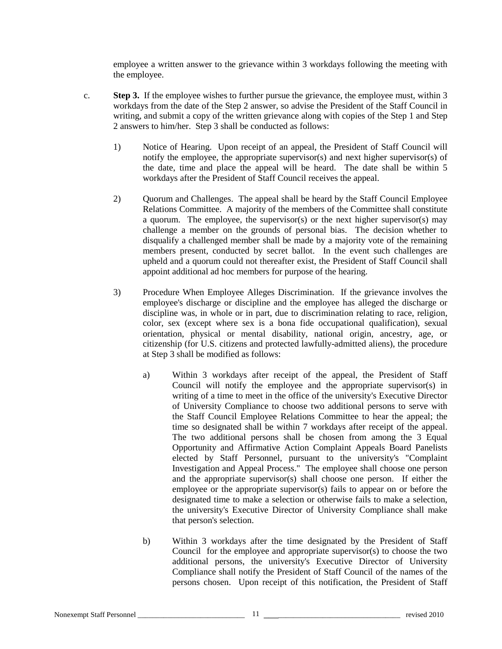employee a written answer to the grievance within 3 workdays following the meeting with the employee.

- c. **Step 3.** If the employee wishes to further pursue the grievance, the employee must, within 3 workdays from the date of the Step 2 answer, so advise the President of the Staff Council in writing, and submit a copy of the written grievance along with copies of the Step 1 and Step 2 answers to him/her. Step 3 shall be conducted as follows:
	- 1) Notice of Hearing. Upon receipt of an appeal, the President of Staff Council will notify the employee, the appropriate supervisor(s) and next higher supervisor(s) of the date, time and place the appeal will be heard. The date shall be within 5 workdays after the President of Staff Council receives the appeal.
	- 2) Quorum and Challenges. The appeal shall be heard by the Staff Council Employee Relations Committee. A majority of the members of the Committee shall constitute a quorum. The employee, the supervisor(s) or the next higher supervisor(s) may challenge a member on the grounds of personal bias. The decision whether to disqualify a challenged member shall be made by a majority vote of the remaining members present, conducted by secret ballot. In the event such challenges are upheld and a quorum could not thereafter exist, the President of Staff Council shall appoint additional ad hoc members for purpose of the hearing.
	- 3) Procedure When Employee Alleges Discrimination. If the grievance involves the employee's discharge or discipline and the employee has alleged the discharge or discipline was, in whole or in part, due to discrimination relating to race, religion, color, sex (except where sex is a bona fide occupational qualification), sexual orientation, physical or mental disability, national origin, ancestry, age, or citizenship (for U.S. citizens and protected lawfully-admitted aliens), the procedure at Step 3 shall be modified as follows:
		- a) Within 3 workdays after receipt of the appeal, the President of Staff Council will notify the employee and the appropriate supervisor(s) in writing of a time to meet in the office of the university's Executive Director of University Compliance to choose two additional persons to serve with the Staff Council Employee Relations Committee to hear the appeal; the time so designated shall be within 7 workdays after receipt of the appeal. The two additional persons shall be chosen from among the 3 Equal Opportunity and Affirmative Action Complaint Appeals Board Panelists elected by Staff Personnel, pursuant to the university's "Complaint Investigation and Appeal Process." The employee shall choose one person and the appropriate supervisor(s) shall choose one person. If either the employee or the appropriate supervisor(s) fails to appear on or before the designated time to make a selection or otherwise fails to make a selection, the university's Executive Director of University Compliance shall make that person's selection.
		- b) Within 3 workdays after the time designated by the President of Staff Council for the employee and appropriate supervisor(s) to choose the two additional persons, the university's Executive Director of University Compliance shall notify the President of Staff Council of the names of the persons chosen. Upon receipt of this notification, the President of Staff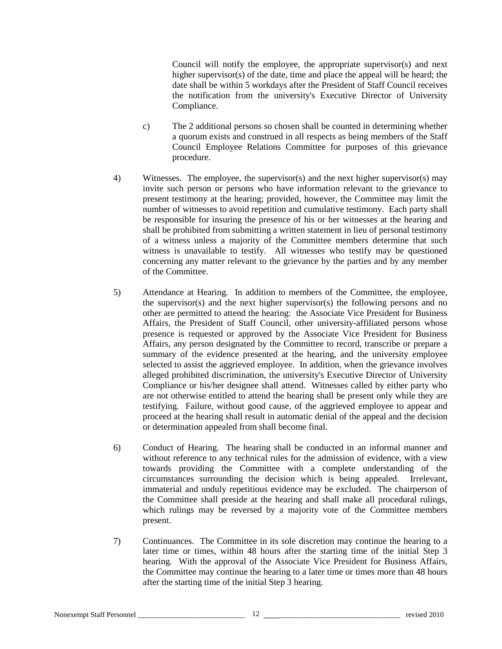Council will notify the employee, the appropriate supervisor(s) and next higher supervisor(s) of the date, time and place the appeal will be heard; the date shall be within 5 workdays after the President of Staff Council receives the notification from the university's Executive Director of University Compliance.

- c) The 2 additional persons so chosen shall be counted in determining whether a quorum exists and construed in all respects as being members of the Staff Council Employee Relations Committee for purposes of this grievance procedure.
- 4) Witnesses. The employee, the supervisor(s) and the next higher supervisor(s) may invite such person or persons who have information relevant to the grievance to present testimony at the hearing; provided, however, the Committee may limit the number of witnesses to avoid repetition and cumulative testimony. Each party shall be responsible for insuring the presence of his or her witnesses at the hearing and shall be prohibited from submitting a written statement in lieu of personal testimony of a witness unless a majority of the Committee members determine that such witness is unavailable to testify. All witnesses who testify may be questioned concerning any matter relevant to the grievance by the parties and by any member of the Committee.
- 5) Attendance at Hearing. In addition to members of the Committee, the employee, the supervisor(s) and the next higher supervisor(s) the following persons and no other are permitted to attend the hearing: the Associate Vice President for Business Affairs, the President of Staff Council, other university-affiliated persons whose presence is requested or approved by the Associate Vice President for Business Affairs, any person designated by the Committee to record, transcribe or prepare a summary of the evidence presented at the hearing, and the university employee selected to assist the aggrieved employee. In addition, when the grievance involves alleged prohibited discrimination, the university's Executive Director of University Compliance or his/her designee shall attend. Witnesses called by either party who are not otherwise entitled to attend the hearing shall be present only while they are testifying. Failure, without good cause, of the aggrieved employee to appear and proceed at the hearing shall result in automatic denial of the appeal and the decision or determination appealed from shall become final.
- 6) Conduct of Hearing. The hearing shall be conducted in an informal manner and without reference to any technical rules for the admission of evidence, with a view towards providing the Committee with a complete understanding of the circumstances surrounding the decision which is being appealed. Irrelevant, immaterial and unduly repetitious evidence may be excluded. The chairperson of the Committee shall preside at the hearing and shall make all procedural rulings, which rulings may be reversed by a majority vote of the Committee members present.
- 7) Continuances. The Committee in its sole discretion may continue the hearing to a later time or times, within 48 hours after the starting time of the initial Step 3 hearing. With the approval of the Associate Vice President for Business Affairs, the Committee may continue the hearing to a later time or times more than 48 hours after the starting time of the initial Step 3 hearing.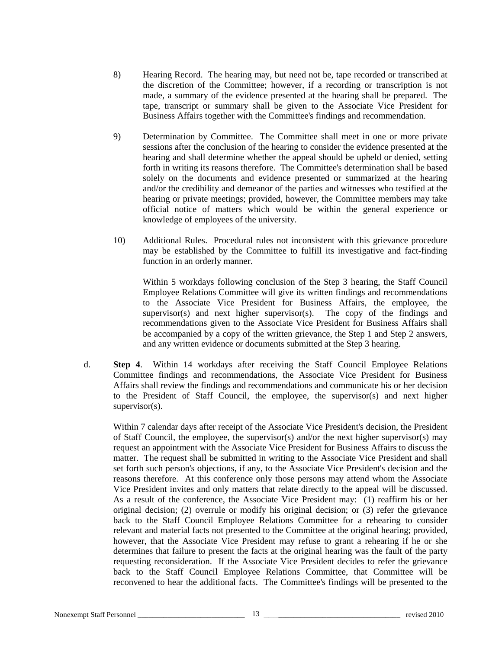- 8) Hearing Record. The hearing may, but need not be, tape recorded or transcribed at the discretion of the Committee; however, if a recording or transcription is not made, a summary of the evidence presented at the hearing shall be prepared. The tape, transcript or summary shall be given to the Associate Vice President for Business Affairs together with the Committee's findings and recommendation.
- 9) Determination by Committee. The Committee shall meet in one or more private sessions after the conclusion of the hearing to consider the evidence presented at the hearing and shall determine whether the appeal should be upheld or denied, setting forth in writing its reasons therefore. The Committee's determination shall be based solely on the documents and evidence presented or summarized at the hearing and/or the credibility and demeanor of the parties and witnesses who testified at the hearing or private meetings; provided, however, the Committee members may take official notice of matters which would be within the general experience or knowledge of employees of the university.
- 10) Additional Rules. Procedural rules not inconsistent with this grievance procedure may be established by the Committee to fulfill its investigative and fact-finding function in an orderly manner.

Within 5 workdays following conclusion of the Step 3 hearing, the Staff Council Employee Relations Committee will give its written findings and recommendations to the Associate Vice President for Business Affairs, the employee, the supervisor(s) and next higher supervisor(s). The copy of the findings and recommendations given to the Associate Vice President for Business Affairs shall be accompanied by a copy of the written grievance, the Step 1 and Step 2 answers, and any written evidence or documents submitted at the Step 3 hearing.

d. **Step 4**. Within 14 workdays after receiving the Staff Council Employee Relations Committee findings and recommendations, the Associate Vice President for Business Affairs shall review the findings and recommendations and communicate his or her decision to the President of Staff Council, the employee, the supervisor(s) and next higher supervisor(s).

Within 7 calendar days after receipt of the Associate Vice President's decision, the President of Staff Council, the employee, the supervisor(s) and/or the next higher supervisor(s) may request an appointment with the Associate Vice President for Business Affairs to discuss the matter. The request shall be submitted in writing to the Associate Vice President and shall set forth such person's objections, if any, to the Associate Vice President's decision and the reasons therefore. At this conference only those persons may attend whom the Associate Vice President invites and only matters that relate directly to the appeal will be discussed. As a result of the conference, the Associate Vice President may: (1) reaffirm his or her original decision; (2) overrule or modify his original decision; or (3) refer the grievance back to the Staff Council Employee Relations Committee for a rehearing to consider relevant and material facts not presented to the Committee at the original hearing; provided, however, that the Associate Vice President may refuse to grant a rehearing if he or she determines that failure to present the facts at the original hearing was the fault of the party requesting reconsideration. If the Associate Vice President decides to refer the grievance back to the Staff Council Employee Relations Committee, that Committee will be reconvened to hear the additional facts. The Committee's findings will be presented to the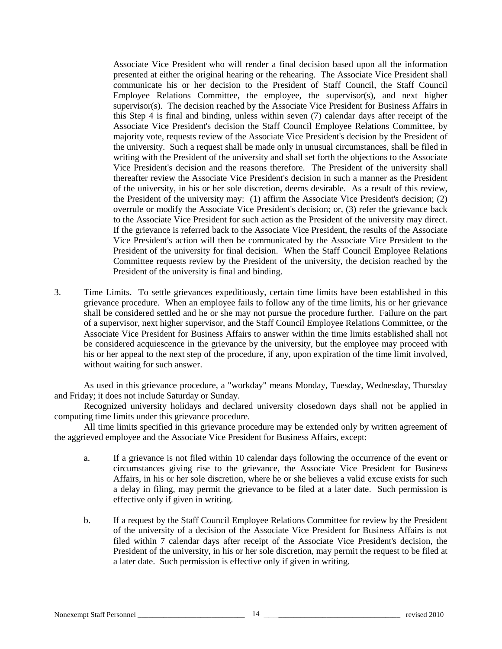Associate Vice President who will render a final decision based upon all the information presented at either the original hearing or the rehearing. The Associate Vice President shall communicate his or her decision to the President of Staff Council, the Staff Council Employee Relations Committee, the employee, the supervisor(s), and next higher supervisor(s). The decision reached by the Associate Vice President for Business Affairs in this Step 4 is final and binding, unless within seven (7) calendar days after receipt of the Associate Vice President's decision the Staff Council Employee Relations Committee, by majority vote, requests review of the Associate Vice President's decision by the President of the university. Such a request shall be made only in unusual circumstances, shall be filed in writing with the President of the university and shall set forth the objections to the Associate Vice President's decision and the reasons therefore. The President of the university shall thereafter review the Associate Vice President's decision in such a manner as the President of the university, in his or her sole discretion, deems desirable. As a result of this review, the President of the university may: (1) affirm the Associate Vice President's decision; (2) overrule or modify the Associate Vice President's decision; or, (3) refer the grievance back to the Associate Vice President for such action as the President of the university may direct. If the grievance is referred back to the Associate Vice President, the results of the Associate Vice President's action will then be communicated by the Associate Vice President to the President of the university for final decision. When the Staff Council Employee Relations Committee requests review by the President of the university, the decision reached by the President of the university is final and binding.

3. Time Limits. To settle grievances expeditiously, certain time limits have been established in this grievance procedure. When an employee fails to follow any of the time limits, his or her grievance shall be considered settled and he or she may not pursue the procedure further. Failure on the part of a supervisor, next higher supervisor, and the Staff Council Employee Relations Committee, or the Associate Vice President for Business Affairs to answer within the time limits established shall not be considered acquiescence in the grievance by the university, but the employee may proceed with his or her appeal to the next step of the procedure, if any, upon expiration of the time limit involved, without waiting for such answer.

As used in this grievance procedure, a "workday" means Monday, Tuesday, Wednesday, Thursday and Friday; it does not include Saturday or Sunday.

Recognized university holidays and declared university closedown days shall not be applied in computing time limits under this grievance procedure.

All time limits specified in this grievance procedure may be extended only by written agreement of the aggrieved employee and the Associate Vice President for Business Affairs, except:

- a. If a grievance is not filed within 10 calendar days following the occurrence of the event or circumstances giving rise to the grievance, the Associate Vice President for Business Affairs, in his or her sole discretion, where he or she believes a valid excuse exists for such a delay in filing, may permit the grievance to be filed at a later date. Such permission is effective only if given in writing.
- b. If a request by the Staff Council Employee Relations Committee for review by the President of the university of a decision of the Associate Vice President for Business Affairs is not filed within 7 calendar days after receipt of the Associate Vice President's decision, the President of the university, in his or her sole discretion, may permit the request to be filed at a later date. Such permission is effective only if given in writing.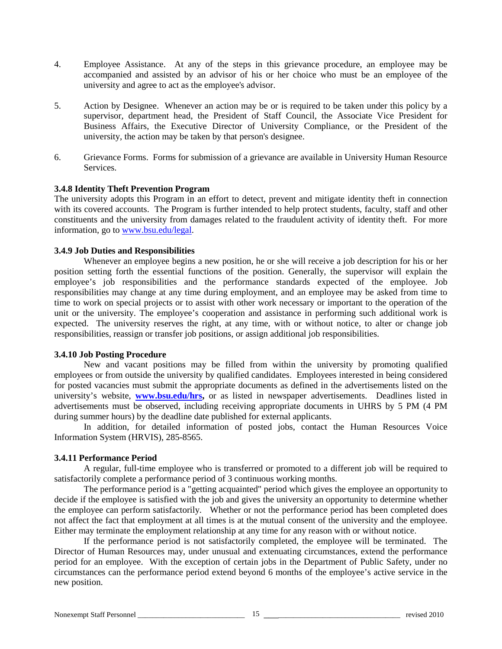- 4. Employee Assistance. At any of the steps in this grievance procedure, an employee may be accompanied and assisted by an advisor of his or her choice who must be an employee of the university and agree to act as the employee's advisor.
- 5. Action by Designee. Whenever an action may be or is required to be taken under this policy by a supervisor, department head, the President of Staff Council, the Associate Vice President for Business Affairs, the Executive Director of University Compliance, or the President of the university, the action may be taken by that person's designee.
- 6. Grievance Forms. Forms for submission of a grievance are available in University Human Resource Services.

#### **3.4.8 Identity Theft Prevention Program**

The university adopts this Program in an effort to detect, prevent and mitigate identity theft in connection with its covered accounts. The Program is further intended to help protect students, faculty, staff and other constituents and the university from damages related to the fraudulent activity of identity theft. For more information, go t[o www.bsu.edu/legal.](http://www.bsu.edu/legal/)

#### **3.4.9 Job Duties and Responsibilities**

Whenever an employee begins a new position, he or she will receive a job description for his or her position setting forth the essential functions of the position. Generally, the supervisor will explain the employee's job responsibilities and the performance standards expected of the employee. Job responsibilities may change at any time during employment, and an employee may be asked from time to time to work on special projects or to assist with other work necessary or important to the operation of the unit or the university. The employee's cooperation and assistance in performing such additional work is expected. The university reserves the right, at any time, with or without notice, to alter or change job responsibilities, reassign or transfer job positions, or assign additional job responsibilities.

#### **3.4.10 Job Posting Procedure**

New and vacant positions may be filled from within the university by promoting qualified employees or from outside the university by qualified candidates. Employees interested in being considered for posted vacancies must submit the appropriate documents as defined in the advertisements listed on the university's website, **www.bsu.edu/hrs**, or as listed in newspaper advertisements. Deadlines listed in advertisements must be observed, including receiving appropriate documents in UHRS by 5 PM (4 PM during summer hours) by the deadline date published for external applicants.

In addition, for detailed information of posted jobs, contact the Human Resources Voice Information System (HRVIS), 285-8565.

## **3.4.11 Performance Period**

A regular, full-time employee who is transferred or promoted to a different job will be required to satisfactorily complete a performance period of 3 continuous working months.

The performance period is a "getting acquainted" period which gives the employee an opportunity to decide if the employee is satisfied with the job and gives the university an opportunity to determine whether the employee can perform satisfactorily. Whether or not the performance period has been completed does not affect the fact that employment at all times is at the mutual consent of the university and the employee. Either may terminate the employment relationship at any time for any reason with or without notice.

If the performance period is not satisfactorily completed, the employee will be terminated. The Director of Human Resources may, under unusual and extenuating circumstances, extend the performance period for an employee. With the exception of certain jobs in the Department of Public Safety, under no circumstances can the performance period extend beyond 6 months of the employee's active service in the new position.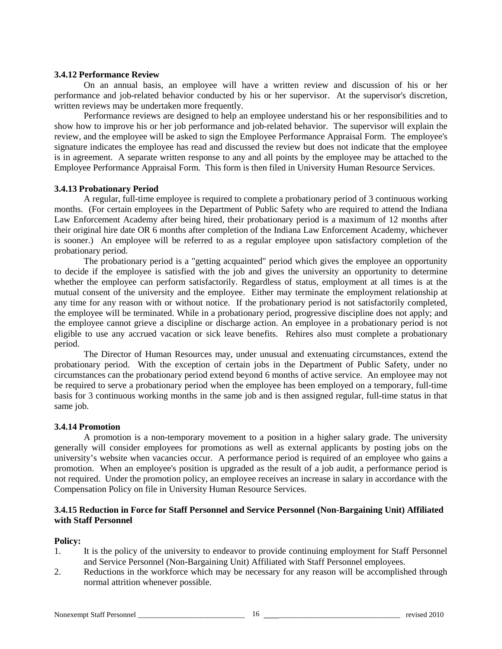### **3.4.12 Performance Review**

On an annual basis, an employee will have a written review and discussion of his or her performance and job-related behavior conducted by his or her supervisor. At the supervisor's discretion, written reviews may be undertaken more frequently.

Performance reviews are designed to help an employee understand his or her responsibilities and to show how to improve his or her job performance and job-related behavior. The supervisor will explain the review, and the employee will be asked to sign the Employee Performance Appraisal Form. The employee's signature indicates the employee has read and discussed the review but does not indicate that the employee is in agreement. A separate written response to any and all points by the employee may be attached to the Employee Performance Appraisal Form. This form is then filed in University Human Resource Services.

#### **3.4.13 Probationary Period**

A regular, full-time employee is required to complete a probationary period of 3 continuous working months. (For certain employees in the Department of Public Safety who are required to attend the Indiana Law Enforcement Academy after being hired, their probationary period is a maximum of 12 months after their original hire date OR 6 months after completion of the Indiana Law Enforcement Academy, whichever is sooner.) An employee will be referred to as a regular employee upon satisfactory completion of the probationary period.

The probationary period is a "getting acquainted" period which gives the employee an opportunity to decide if the employee is satisfied with the job and gives the university an opportunity to determine whether the employee can perform satisfactorily. Regardless of status, employment at all times is at the mutual consent of the university and the employee. Either may terminate the employment relationship at any time for any reason with or without notice. If the probationary period is not satisfactorily completed, the employee will be terminated. While in a probationary period, progressive discipline does not apply; and the employee cannot grieve a discipline or discharge action. An employee in a probationary period is not eligible to use any accrued vacation or sick leave benefits. Rehires also must complete a probationary period.

The Director of Human Resources may, under unusual and extenuating circumstances, extend the probationary period. With the exception of certain jobs in the Department of Public Safety, under no circumstances can the probationary period extend beyond 6 months of active service. An employee may not be required to serve a probationary period when the employee has been employed on a temporary, full-time basis for 3 continuous working months in the same job and is then assigned regular, full-time status in that same job.

## **3.4.14 Promotion**

A promotion is a non-temporary movement to a position in a higher salary grade. The university generally will consider employees for promotions as well as external applicants by posting jobs on the university's website when vacancies occur. A performance period is required of an employee who gains a promotion. When an employee's position is upgraded as the result of a job audit, a performance period is not required. Under the promotion policy, an employee receives an increase in salary in accordance with the Compensation Policy on file in University Human Resource Services.

## **3.4.15 Reduction in Force for Staff Personnel and Service Personnel (Non-Bargaining Unit) Affiliated with Staff Personnel**

## **Policy:**

- 1. It is the policy of the university to endeavor to provide continuing employment for Staff Personnel and Service Personnel (Non-Bargaining Unit) Affiliated with Staff Personnel employees.
- 2. Reductions in the workforce which may be necessary for any reason will be accomplished through normal attrition whenever possible.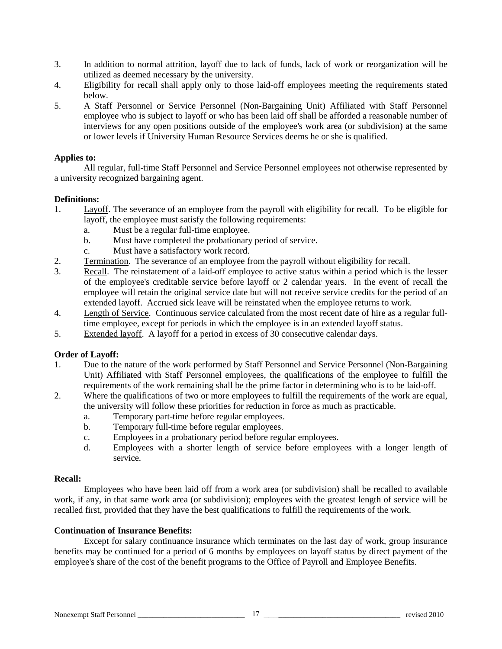- 3. In addition to normal attrition, layoff due to lack of funds, lack of work or reorganization will be utilized as deemed necessary by the university.
- 4. Eligibility for recall shall apply only to those laid-off employees meeting the requirements stated below.
- 5. A Staff Personnel or Service Personnel (Non-Bargaining Unit) Affiliated with Staff Personnel employee who is subject to layoff or who has been laid off shall be afforded a reasonable number of interviews for any open positions outside of the employee's work area (or subdivision) at the same or lower levels if University Human Resource Services deems he or she is qualified.

## **Applies to:**

All regular, full-time Staff Personnel and Service Personnel employees not otherwise represented by a university recognized bargaining agent.

## **Definitions:**

- 1. Layoff. The severance of an employee from the payroll with eligibility for recall. To be eligible for layoff, the employee must satisfy the following requirements:
	- a. Must be a regular full-time employee.
	- b. Must have completed the probationary period of service.
	- c. Must have a satisfactory work record.
- 2. Termination. The severance of an employee from the payroll without eligibility for recall.
- 3. Recall. The reinstatement of a laid-off employee to active status within a period which is the lesser of the employee's creditable service before layoff or 2 calendar years. In the event of recall the employee will retain the original service date but will not receive service credits for the period of an extended layoff. Accrued sick leave will be reinstated when the employee returns to work.
- 4. Length of Service. Continuous service calculated from the most recent date of hire as a regular fulltime employee, except for periods in which the employee is in an extended layoff status.
- 5. Extended layoff. A layoff for a period in excess of 30 consecutive calendar days.

## **Order of Layoff:**

- 1. Due to the nature of the work performed by Staff Personnel and Service Personnel (Non-Bargaining Unit) Affiliated with Staff Personnel employees, the qualifications of the employee to fulfill the requirements of the work remaining shall be the prime factor in determining who is to be laid-off.
- 2. Where the qualifications of two or more employees to fulfill the requirements of the work are equal, the university will follow these priorities for reduction in force as much as practicable.
	- a. Temporary part-time before regular employees.
	- b. Temporary full-time before regular employees.
	- c. Employees in a probationary period before regular employees.
	- d. Employees with a shorter length of service before employees with a longer length of service.

## **Recall:**

Employees who have been laid off from a work area (or subdivision) shall be recalled to available work, if any, in that same work area (or subdivision); employees with the greatest length of service will be recalled first, provided that they have the best qualifications to fulfill the requirements of the work.

## **Continuation of Insurance Benefits:**

Except for salary continuance insurance which terminates on the last day of work, group insurance benefits may be continued for a period of 6 months by employees on layoff status by direct payment of the employee's share of the cost of the benefit programs to the Office of Payroll and Employee Benefits.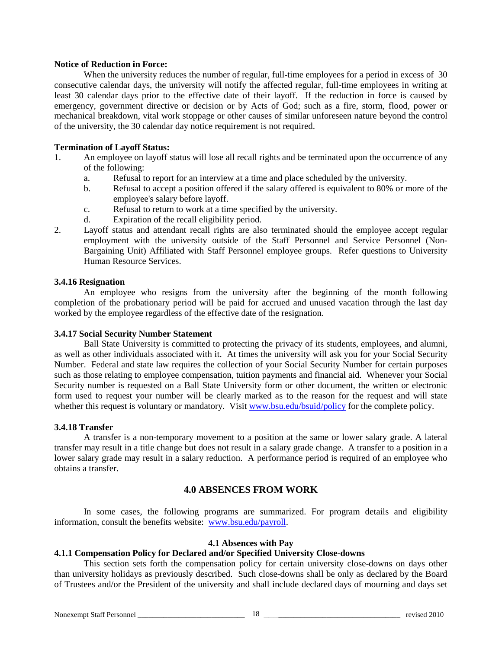## **Notice of Reduction in Force:**

When the university reduces the number of regular, full-time employees for a period in excess of 30 consecutive calendar days, the university will notify the affected regular, full-time employees in writing at least 30 calendar days prior to the effective date of their layoff. If the reduction in force is caused by emergency, government directive or decision or by Acts of God; such as a fire, storm, flood, power or mechanical breakdown, vital work stoppage or other causes of similar unforeseen nature beyond the control of the university, the 30 calendar day notice requirement is not required.

## **Termination of Layoff Status:**

- 1. An employee on layoff status will lose all recall rights and be terminated upon the occurrence of any of the following:
	- a. Refusal to report for an interview at a time and place scheduled by the university.
	- b. Refusal to accept a position offered if the salary offered is equivalent to 80% or more of the employee's salary before layoff.
	- c. Refusal to return to work at a time specified by the university.
	- d. Expiration of the recall eligibility period.
- 2. Layoff status and attendant recall rights are also terminated should the employee accept regular employment with the university outside of the Staff Personnel and Service Personnel (Non-Bargaining Unit) Affiliated with Staff Personnel employee groups. Refer questions to University Human Resource Services.

## **3.4.16 Resignation**

An employee who resigns from the university after the beginning of the month following completion of the probationary period will be paid for accrued and unused vacation through the last day worked by the employee regardless of the effective date of the resignation.

## **3.4.17 Social Security Number Statement**

Ball State University is committed to protecting the privacy of its students, employees, and alumni, as well as other individuals associated with it. At times the university will ask you for your Social Security Number. Federal and state law requires the collection of your Social Security Number for certain purposes such as those relating to employee compensation, tuition payments and financial aid. Whenever your Social Security number is requested on a Ball State University form or other document, the written or electronic form used to request your number will be clearly marked as to the reason for the request and will state whether this request is voluntary or mandatory. Visit [www.bsu.edu/bsuid/policy](http://www.bsu.edu/bsuid/policy) for the complete policy.

## **3.4.18 Transfer**

A transfer is a non-temporary movement to a position at the same or lower salary grade. A lateral transfer may result in a title change but does not result in a salary grade change. A transfer to a position in a lower salary grade may result in a salary reduction. A performance period is required of an employee who obtains a transfer.

## **4.0 ABSENCES FROM WORK**

In some cases, the following programs are summarized. For program details and eligibility information, consult the benefits website: [www.bsu.edu/payroll.](http://www.bsu.edu/payroll)

## **4.1 Absences with Pay**

## **4.1.1 Compensation Policy for Declared and/or Specified University Close-downs**

This section sets forth the compensation policy for certain university close-downs on days other than university holidays as previously described. Such close-downs shall be only as declared by the Board of Trustees and/or the President of the university and shall include declared days of mourning and days set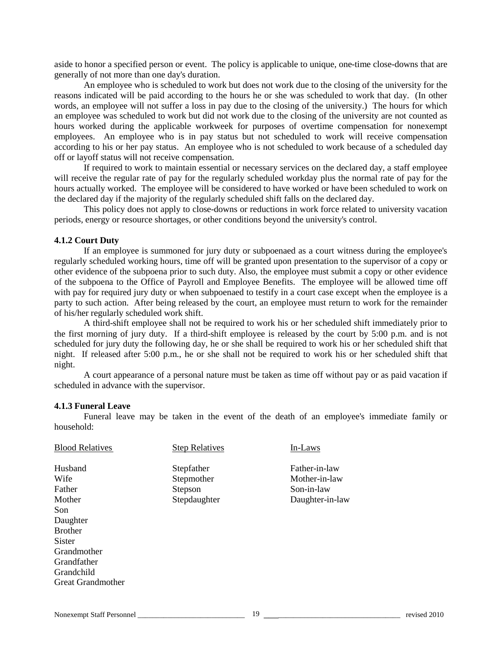aside to honor a specified person or event. The policy is applicable to unique, one-time close-downs that are generally of not more than one day's duration.

An employee who is scheduled to work but does not work due to the closing of the university for the reasons indicated will be paid according to the hours he or she was scheduled to work that day. (In other words, an employee will not suffer a loss in pay due to the closing of the university.) The hours for which an employee was scheduled to work but did not work due to the closing of the university are not counted as hours worked during the applicable workweek for purposes of overtime compensation for nonexempt employees. An employee who is in pay status but not scheduled to work will receive compensation according to his or her pay status. An employee who is not scheduled to work because of a scheduled day off or layoff status will not receive compensation.

If required to work to maintain essential or necessary services on the declared day, a staff employee will receive the regular rate of pay for the regularly scheduled workday plus the normal rate of pay for the hours actually worked. The employee will be considered to have worked or have been scheduled to work on the declared day if the majority of the regularly scheduled shift falls on the declared day.

This policy does not apply to close-downs or reductions in work force related to university vacation periods, energy or resource shortages, or other conditions beyond the university's control.

#### **4.1.2 Court Duty**

If an employee is summoned for jury duty or subpoenaed as a court witness during the employee's regularly scheduled working hours, time off will be granted upon presentation to the supervisor of a copy or other evidence of the subpoena prior to such duty. Also, the employee must submit a copy or other evidence of the subpoena to the Office of Payroll and Employee Benefits. The employee will be allowed time off with pay for required jury duty or when subpoenaed to testify in a court case except when the employee is a party to such action. After being released by the court, an employee must return to work for the remainder of his/her regularly scheduled work shift.

A third-shift employee shall not be required to work his or her scheduled shift immediately prior to the first morning of jury duty. If a third-shift employee is released by the court by 5:00 p.m. and is not scheduled for jury duty the following day, he or she shall be required to work his or her scheduled shift that night. If released after 5:00 p.m., he or she shall not be required to work his or her scheduled shift that night.

A court appearance of a personal nature must be taken as time off without pay or as paid vacation if scheduled in advance with the supervisor.

#### **4.1.3 Funeral Leave**

Funeral leave may be taken in the event of the death of an employee's immediate family or household:

| <b>Blood Relatives</b>   | <b>Step Relatives</b> | In-Laws         |
|--------------------------|-----------------------|-----------------|
| Husband                  | Stepfather            | Father-in-law   |
| Wife                     | Stepmother            | Mother-in-law   |
| Father                   | Stepson               | Son-in-law      |
| Mother                   | Stepdaughter          | Daughter-in-law |
| Son                      |                       |                 |
| Daughter                 |                       |                 |
| <b>Brother</b>           |                       |                 |
| <b>Sister</b>            |                       |                 |
| Grandmother              |                       |                 |
| Grandfather              |                       |                 |
| Grandchild               |                       |                 |
| <b>Great Grandmother</b> |                       |                 |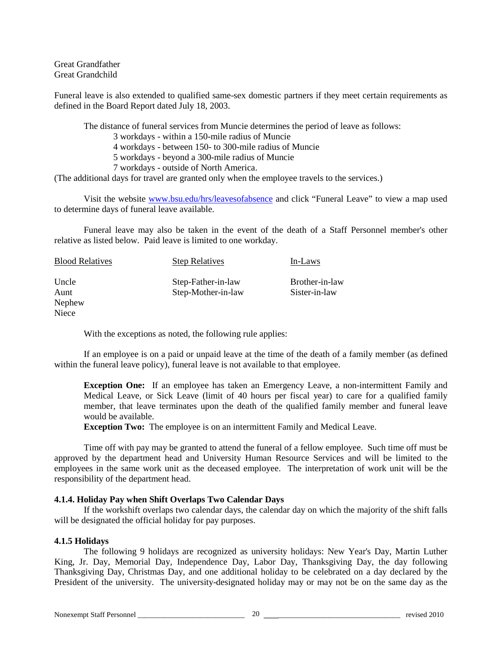Great Grandfather Great Grandchild

Funeral leave is also extended to qualified same-sex domestic partners if they meet certain requirements as defined in the Board Report dated July 18, 2003.

The distance of funeral services from Muncie determines the period of leave as follows:

3 workdays - within a 150-mile radius of Muncie

4 workdays - between 150- to 300-mile radius of Muncie

5 workdays - beyond a 300-mile radius of Muncie

7 workdays - outside of North America.

(The additional days for travel are granted only when the employee travels to the services.)

Visit the website [www.bsu.edu/hrs/leavesofabsence](http://www.bsu.edu/hrs/leavesofabsence) and click "Funeral Leave" to view a map used to determine days of funeral leave available.

Funeral leave may also be taken in the event of the death of a Staff Personnel member's other relative as listed below. Paid leave is limited to one workday.

| <b>Blood Relatives</b> | <b>Step Relatives</b> | In-Laws        |
|------------------------|-----------------------|----------------|
| Uncle                  | Step-Father-in-law    | Brother-in-law |
| Aunt                   | Step-Mother-in-law    | Sister-in-law  |
| Nephew                 |                       |                |
| <b>Niece</b>           |                       |                |

With the exceptions as noted, the following rule applies:

If an employee is on a paid or unpaid leave at the time of the death of a family member (as defined within the funeral leave policy), funeral leave is not available to that employee.

**Exception One:** If an employee has taken an Emergency Leave, a non-intermittent Family and Medical Leave, or Sick Leave (limit of 40 hours per fiscal year) to care for a qualified family member, that leave terminates upon the death of the qualified family member and funeral leave would be available.

**Exception Two:** The employee is on an intermittent Family and Medical Leave.

Time off with pay may be granted to attend the funeral of a fellow employee. Such time off must be approved by the department head and University Human Resource Services and will be limited to the employees in the same work unit as the deceased employee. The interpretation of work unit will be the responsibility of the department head.

## **4.1.4. Holiday Pay when Shift Overlaps Two Calendar Days**

If the workshift overlaps two calendar days, the calendar day on which the majority of the shift falls will be designated the official holiday for pay purposes.

## **4.1.5 Holidays**

The following 9 holidays are recognized as university holidays: New Year's Day, Martin Luther King, Jr. Day, Memorial Day, Independence Day, Labor Day, Thanksgiving Day, the day following Thanksgiving Day, Christmas Day, and one additional holiday to be celebrated on a day declared by the President of the university. The university-designated holiday may or may not be on the same day as the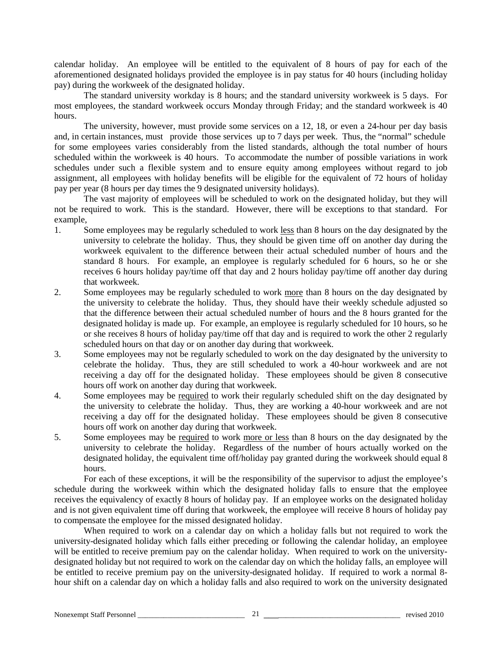calendar holiday. An employee will be entitled to the equivalent of 8 hours of pay for each of the aforementioned designated holidays provided the employee is in pay status for 40 hours (including holiday pay) during the workweek of the designated holiday.

The standard university workday is 8 hours; and the standard university workweek is 5 days. For most employees, the standard workweek occurs Monday through Friday; and the standard workweek is 40 hours.

The university, however, must provide some services on a 12, 18, or even a 24-hour per day basis and, in certain instances, must provide those services up to 7 days per week. Thus, the "normal" schedule for some employees varies considerably from the listed standards, although the total number of hours scheduled within the workweek is 40 hours. To accommodate the number of possible variations in work schedules under such a flexible system and to ensure equity among employees without regard to job assignment, all employees with holiday benefits will be eligible for the equivalent of 72 hours of holiday pay per year (8 hours per day times the 9 designated university holidays).

The vast majority of employees will be scheduled to work on the designated holiday, but they will not be required to work. This is the standard. However, there will be exceptions to that standard. For example,

- 1. Some employees may be regularly scheduled to work <u>less</u> than 8 hours on the day designated by the university to celebrate the holiday. Thus, they should be given time off on another day during the workweek equivalent to the difference between their actual scheduled number of hours and the standard 8 hours. For example, an employee is regularly scheduled for 6 hours, so he or she receives 6 hours holiday pay/time off that day and 2 hours holiday pay/time off another day during that workweek.
- 2. Some employees may be regularly scheduled to work more than 8 hours on the day designated by the university to celebrate the holiday. Thus, they should have their weekly schedule adjusted so that the difference between their actual scheduled number of hours and the 8 hours granted for the designated holiday is made up. For example, an employee is regularly scheduled for 10 hours, so he or she receives 8 hours of holiday pay/time off that day and is required to work the other 2 regularly scheduled hours on that day or on another day during that workweek.
- 3. Some employees may not be regularly scheduled to work on the day designated by the university to celebrate the holiday. Thus, they are still scheduled to work a 40-hour workweek and are not receiving a day off for the designated holiday. These employees should be given 8 consecutive hours off work on another day during that workweek.
- 4. Some employees may be required to work their regularly scheduled shift on the day designated by the university to celebrate the holiday. Thus, they are working a 40-hour workweek and are not receiving a day off for the designated holiday. These employees should be given 8 consecutive hours off work on another day during that workweek.
- 5. Some employees may be required to work more or less than 8 hours on the day designated by the university to celebrate the holiday. Regardless of the number of hours actually worked on the designated holiday, the equivalent time off/holiday pay granted during the workweek should equal 8 hours.

For each of these exceptions, it will be the responsibility of the supervisor to adjust the employee's schedule during the workweek within which the designated holiday falls to ensure that the employee receives the equivalency of exactly 8 hours of holiday pay. If an employee works on the designated holiday and is not given equivalent time off during that workweek, the employee will receive 8 hours of holiday pay to compensate the employee for the missed designated holiday.

When required to work on a calendar day on which a holiday falls but not required to work the university-designated holiday which falls either preceding or following the calendar holiday, an employee will be entitled to receive premium pay on the calendar holiday. When required to work on the universitydesignated holiday but not required to work on the calendar day on which the holiday falls, an employee will be entitled to receive premium pay on the university-designated holiday. If required to work a normal 8 hour shift on a calendar day on which a holiday falls and also required to work on the university designated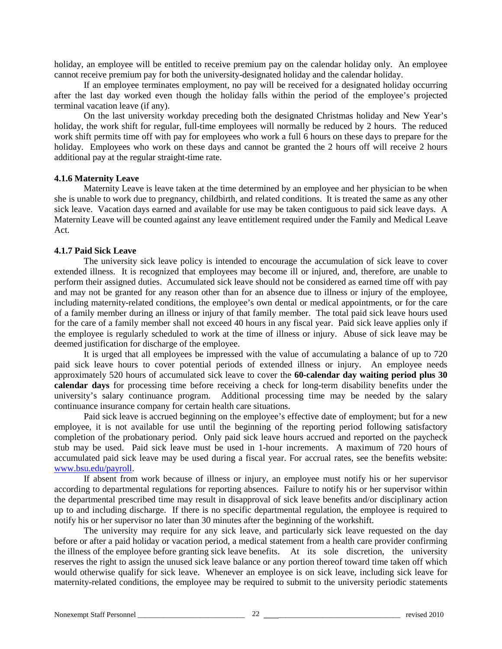holiday, an employee will be entitled to receive premium pay on the calendar holiday only. An employee cannot receive premium pay for both the university-designated holiday and the calendar holiday.

If an employee terminates employment, no pay will be received for a designated holiday occurring after the last day worked even though the holiday falls within the period of the employee's projected terminal vacation leave (if any).

On the last university workday preceding both the designated Christmas holiday and New Year's holiday, the work shift for regular, full-time employees will normally be reduced by 2 hours. The reduced work shift permits time off with pay for employees who work a full 6 hours on these days to prepare for the holiday. Employees who work on these days and cannot be granted the 2 hours off will receive 2 hours additional pay at the regular straight-time rate.

#### **4.1.6 Maternity Leave**

Maternity Leave is leave taken at the time determined by an employee and her physician to be when she is unable to work due to pregnancy, childbirth, and related conditions. It is treated the same as any other sick leave. Vacation days earned and available for use may be taken contiguous to paid sick leave days. A Maternity Leave will be counted against any leave entitlement required under the Family and Medical Leave Act.

## **4.1.7 Paid Sick Leave**

The university sick leave policy is intended to encourage the accumulation of sick leave to cover extended illness. It is recognized that employees may become ill or injured, and, therefore, are unable to perform their assigned duties. Accumulated sick leave should not be considered as earned time off with pay and may not be granted for any reason other than for an absence due to illness or injury of the employee, including maternity-related conditions, the employee's own dental or medical appointments, or for the care of a family member during an illness or injury of that family member. The total paid sick leave hours used for the care of a family member shall not exceed 40 hours in any fiscal year. Paid sick leave applies only if the employee is regularly scheduled to work at the time of illness or injury. Abuse of sick leave may be deemed justification for discharge of the employee.

It is urged that all employees be impressed with the value of accumulating a balance of up to 720 paid sick leave hours to cover potential periods of extended illness or injury. An employee needs approximately 520 hours of accumulated sick leave to cover the **60-calendar day waiting period plus 30 calendar days** for processing time before receiving a check for long-term disability benefits under the university's salary continuance program. Additional processing time may be needed by the salary continuance insurance company for certain health care situations.

Paid sick leave is accrued beginning on the employee's effective date of employment; but for a new employee, it is not available for use until the beginning of the reporting period following satisfactory completion of the probationary period. Only paid sick leave hours accrued and reported on the paycheck stub may be used. Paid sick leave must be used in 1-hour increments. A maximum of 720 hours of accumulated paid sick leave may be used during a fiscal year. For accrual rates, see the benefits website: [www.bsu.edu/payroll.](http://www.bsu.edu/payroll)

If absent from work because of illness or injury, an employee must notify his or her supervisor according to departmental regulations for reporting absences. Failure to notify his or her supervisor within the departmental prescribed time may result in disapproval of sick leave benefits and/or disciplinary action up to and including discharge. If there is no specific departmental regulation, the employee is required to notify his or her supervisor no later than 30 minutes after the beginning of the workshift.

The university may require for any sick leave, and particularly sick leave requested on the day before or after a paid holiday or vacation period, a medical statement from a health care provider confirming the illness of the employee before granting sick leave benefits. At its sole discretion, the university reserves the right to assign the unused sick leave balance or any portion thereof toward time taken off which would otherwise qualify for sick leave. Whenever an employee is on sick leave, including sick leave for maternity-related conditions, the employee may be required to submit to the university periodic statements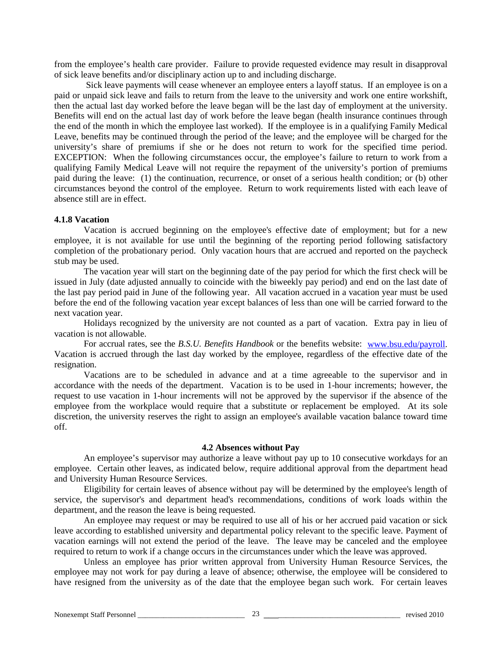from the employee's health care provider. Failure to provide requested evidence may result in disapproval of sick leave benefits and/or disciplinary action up to and including discharge.

Sick leave payments will cease whenever an employee enters a layoff status. If an employee is on a paid or unpaid sick leave and fails to return from the leave to the university and work one entire workshift, then the actual last day worked before the leave began will be the last day of employment at the university. Benefits will end on the actual last day of work before the leave began (health insurance continues through the end of the month in which the employee last worked). If the employee is in a qualifying Family Medical Leave, benefits may be continued through the period of the leave; and the employee will be charged for the university's share of premiums if she or he does not return to work for the specified time period. EXCEPTION: When the following circumstances occur, the employee's failure to return to work from a qualifying Family Medical Leave will not require the repayment of the university's portion of premiums paid during the leave: (1) the continuation, recurrence, or onset of a serious health condition; or (b) other circumstances beyond the control of the employee. Return to work requirements listed with each leave of absence still are in effect.

#### **4.1.8 Vacation**

Vacation is accrued beginning on the employee's effective date of employment; but for a new employee, it is not available for use until the beginning of the reporting period following satisfactory completion of the probationary period. Only vacation hours that are accrued and reported on the paycheck stub may be used.

The vacation year will start on the beginning date of the pay period for which the first check will be issued in July (date adjusted annually to coincide with the biweekly pay period) and end on the last date of the last pay period paid in June of the following year. All vacation accrued in a vacation year must be used before the end of the following vacation year except balances of less than one will be carried forward to the next vacation year.

Holidays recognized by the university are not counted as a part of vacation. Extra pay in lieu of vacation is not allowable.

For accrual rates, see the *B.S.U. Benefits Handbook* or the benefits website: [www.bsu.edu/payroll.](http://www.bsu.edu/payroll) Vacation is accrued through the last day worked by the employee, regardless of the effective date of the resignation.

Vacations are to be scheduled in advance and at a time agreeable to the supervisor and in accordance with the needs of the department. Vacation is to be used in 1-hour increments; however, the request to use vacation in 1-hour increments will not be approved by the supervisor if the absence of the employee from the workplace would require that a substitute or replacement be employed. At its sole discretion, the university reserves the right to assign an employee's available vacation balance toward time off.

#### **4.2 Absences without Pay**

An employee's supervisor may authorize a leave without pay up to 10 consecutive workdays for an employee. Certain other leaves, as indicated below, require additional approval from the department head and University Human Resource Services.

Eligibility for certain leaves of absence without pay will be determined by the employee's length of service, the supervisor's and department head's recommendations, conditions of work loads within the department, and the reason the leave is being requested.

An employee may request or may be required to use all of his or her accrued paid vacation or sick leave according to established university and departmental policy relevant to the specific leave. Payment of vacation earnings will not extend the period of the leave. The leave may be canceled and the employee required to return to work if a change occurs in the circumstances under which the leave was approved.

Unless an employee has prior written approval from University Human Resource Services, the employee may not work for pay during a leave of absence; otherwise, the employee will be considered to have resigned from the university as of the date that the employee began such work. For certain leaves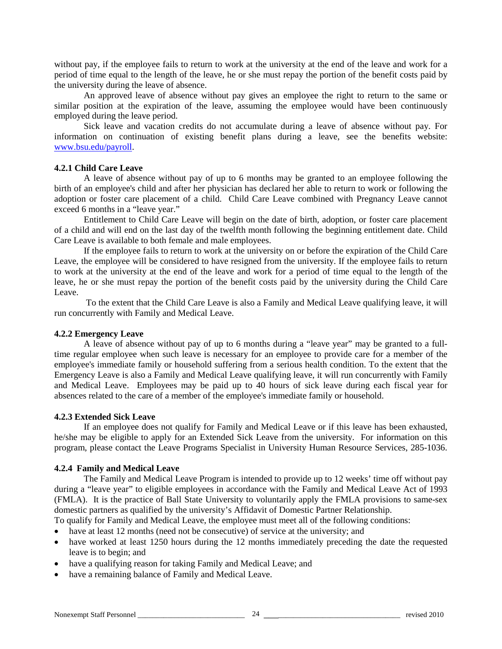without pay, if the employee fails to return to work at the university at the end of the leave and work for a period of time equal to the length of the leave, he or she must repay the portion of the benefit costs paid by the university during the leave of absence.

An approved leave of absence without pay gives an employee the right to return to the same or similar position at the expiration of the leave, assuming the employee would have been continuously employed during the leave period.

Sick leave and vacation credits do not accumulate during a leave of absence without pay. For information on continuation of existing benefit plans during a leave, see the benefits website: [www.bsu.edu/payroll.](http://www.bsu.edu/payroll)

## **4.2.1 Child Care Leave**

A leave of absence without pay of up to 6 months may be granted to an employee following the birth of an employee's child and after her physician has declared her able to return to work or following the adoption or foster care placement of a child. Child Care Leave combined with Pregnancy Leave cannot exceed 6 months in a "leave year."

Entitlement to Child Care Leave will begin on the date of birth, adoption, or foster care placement of a child and will end on the last day of the twelfth month following the beginning entitlement date. Child Care Leave is available to both female and male employees.

If the employee fails to return to work at the university on or before the expiration of the Child Care Leave, the employee will be considered to have resigned from the university. If the employee fails to return to work at the university at the end of the leave and work for a period of time equal to the length of the leave, he or she must repay the portion of the benefit costs paid by the university during the Child Care Leave.

To the extent that the Child Care Leave is also a Family and Medical Leave qualifying leave, it will run concurrently with Family and Medical Leave.

#### **4.2.2 Emergency Leave**

A leave of absence without pay of up to 6 months during a "leave year" may be granted to a fulltime regular employee when such leave is necessary for an employee to provide care for a member of the employee's immediate family or household suffering from a serious health condition. To the extent that the Emergency Leave is also a Family and Medical Leave qualifying leave, it will run concurrently with Family and Medical Leave. Employees may be paid up to 40 hours of sick leave during each fiscal year for absences related to the care of a member of the employee's immediate family or household.

#### **4.2.3 Extended Sick Leave**

If an employee does not qualify for Family and Medical Leave or if this leave has been exhausted, he/she may be eligible to apply for an Extended Sick Leave from the university. For information on this program, please contact the Leave Programs Specialist in University Human Resource Services, 285-1036.

## **4.2.4 Family and Medical Leave**

The Family and Medical Leave Program is intended to provide up to 12 weeks' time off without pay during a "leave year" to eligible employees in accordance with the Family and Medical Leave Act of 1993 (FMLA). It is the practice of Ball State University to voluntarily apply the FMLA provisions to same-sex domestic partners as qualified by the university's Affidavit of Domestic Partner Relationship.

To qualify for Family and Medical Leave, the employee must meet all of the following conditions:

- have at least 12 months (need not be consecutive) of service at the university; and
- have worked at least 1250 hours during the 12 months immediately preceding the date the requested leave is to begin; and
- have a qualifying reason for taking Family and Medical Leave; and
- have a remaining balance of Family and Medical Leave.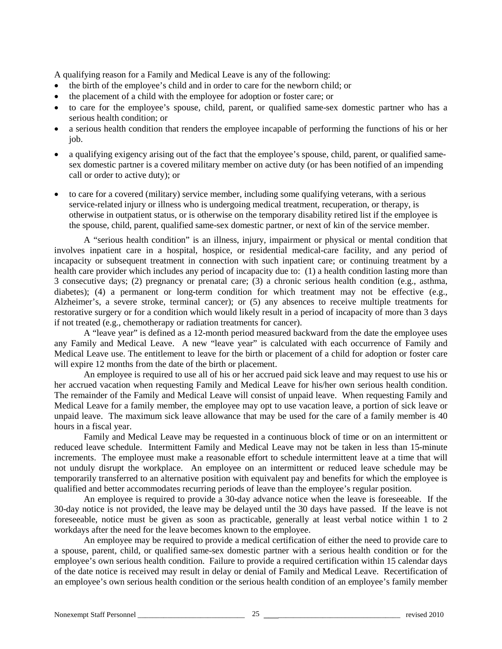A qualifying reason for a Family and Medical Leave is any of the following:

- the birth of the employee's child and in order to care for the newborn child; or
- the placement of a child with the employee for adoption or foster care; or
- to care for the employee's spouse, child, parent, or qualified same-sex domestic partner who has a serious health condition; or
- a serious health condition that renders the employee incapable of performing the functions of his or her job.
- a qualifying exigency arising out of the fact that the employee's spouse, child, parent, or qualified samesex domestic partner is a covered military member on active duty (or has been notified of an impending call or order to active duty); or
- to care for a covered (military) service member, including some qualifying veterans, with a serious service-related injury or illness who is undergoing medical treatment, recuperation, or therapy, is otherwise in outpatient status, or is otherwise on the temporary disability retired list if the employee is the spouse, child, parent, qualified same-sex domestic partner, or next of kin of the service member.

A "serious health condition" is an illness, injury, impairment or physical or mental condition that involves inpatient care in a hospital, hospice, or residential medical-care facility, and any period of incapacity or subsequent treatment in connection with such inpatient care; or continuing treatment by a health care provider which includes any period of incapacity due to: (1) a health condition lasting more than 3 consecutive days; (2) pregnancy or prenatal care; (3) a chronic serious health condition (e.g., asthma, diabetes); (4) a permanent or long-term condition for which treatment may not be effective (e.g., Alzheimer's, a severe stroke, terminal cancer); or (5) any absences to receive multiple treatments for restorative surgery or for a condition which would likely result in a period of incapacity of more than 3 days if not treated (e.g., chemotherapy or radiation treatments for cancer).

A "leave year" is defined as a 12-month period measured backward from the date the employee uses any Family and Medical Leave. A new "leave year" is calculated with each occurrence of Family and Medical Leave use. The entitlement to leave for the birth or placement of a child for adoption or foster care will expire 12 months from the date of the birth or placement.

An employee is required to use all of his or her accrued paid sick leave and may request to use his or her accrued vacation when requesting Family and Medical Leave for his/her own serious health condition. The remainder of the Family and Medical Leave will consist of unpaid leave. When requesting Family and Medical Leave for a family member, the employee may opt to use vacation leave, a portion of sick leave or unpaid leave. The maximum sick leave allowance that may be used for the care of a family member is 40 hours in a fiscal year.

Family and Medical Leave may be requested in a continuous block of time or on an intermittent or reduced leave schedule. Intermittent Family and Medical Leave may not be taken in less than 15-minute increments. The employee must make a reasonable effort to schedule intermittent leave at a time that will not unduly disrupt the workplace. An employee on an intermittent or reduced leave schedule may be temporarily transferred to an alternative position with equivalent pay and benefits for which the employee is qualified and better accommodates recurring periods of leave than the employee's regular position.

An employee is required to provide a 30-day advance notice when the leave is foreseeable. If the 30-day notice is not provided, the leave may be delayed until the 30 days have passed. If the leave is not foreseeable, notice must be given as soon as practicable, generally at least verbal notice within 1 to 2 workdays after the need for the leave becomes known to the employee.

An employee may be required to provide a medical certification of either the need to provide care to a spouse, parent, child, or qualified same-sex domestic partner with a serious health condition or for the employee's own serious health condition. Failure to provide a required certification within 15 calendar days of the date notice is received may result in delay or denial of Family and Medical Leave. Recertification of an employee's own serious health condition or the serious health condition of an employee's family member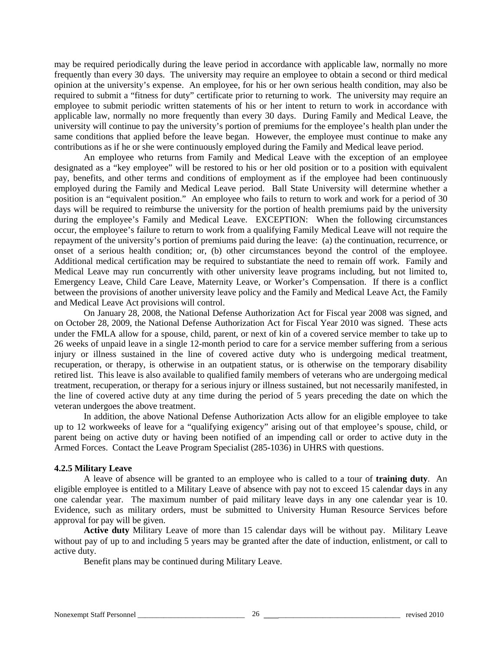may be required periodically during the leave period in accordance with applicable law, normally no more frequently than every 30 days. The university may require an employee to obtain a second or third medical opinion at the university's expense. An employee, for his or her own serious health condition, may also be required to submit a "fitness for duty" certificate prior to returning to work. The university may require an employee to submit periodic written statements of his or her intent to return to work in accordance with applicable law, normally no more frequently than every 30 days. During Family and Medical Leave, the university will continue to pay the university's portion of premiums for the employee's health plan under the same conditions that applied before the leave began. However, the employee must continue to make any contributions as if he or she were continuously employed during the Family and Medical leave period.

An employee who returns from Family and Medical Leave with the exception of an employee designated as a "key employee" will be restored to his or her old position or to a position with equivalent pay, benefits, and other terms and conditions of employment as if the employee had been continuously employed during the Family and Medical Leave period. Ball State University will determine whether a position is an "equivalent position." An employee who fails to return to work and work for a period of 30 days will be required to reimburse the university for the portion of health premiums paid by the university during the employee's Family and Medical Leave. EXCEPTION: When the following circumstances occur, the employee's failure to return to work from a qualifying Family Medical Leave will not require the repayment of the university's portion of premiums paid during the leave: (a) the continuation, recurrence, or onset of a serious health condition; or, (b) other circumstances beyond the control of the employee. Additional medical certification may be required to substantiate the need to remain off work. Family and Medical Leave may run concurrently with other university leave programs including, but not limited to, Emergency Leave, Child Care Leave, Maternity Leave, or Worker's Compensation. If there is a conflict between the provisions of another university leave policy and the Family and Medical Leave Act, the Family and Medical Leave Act provisions will control.

On January 28, 2008, the National Defense Authorization Act for Fiscal year 2008 was signed, and on October 28, 2009, the National Defense Authorization Act for Fiscal Year 2010 was signed. These acts under the FMLA allow for a spouse, child, parent, or next of kin of a covered service member to take up to 26 weeks of unpaid leave in a single 12-month period to care for a service member suffering from a serious injury or illness sustained in the line of covered active duty who is undergoing medical treatment, recuperation, or therapy, is otherwise in an outpatient status, or is otherwise on the temporary disability retired list. This leave is also available to qualified family members of veterans who are undergoing medical treatment, recuperation, or therapy for a serious injury or illness sustained, but not necessarily manifested, in the line of covered active duty at any time during the period of 5 years preceding the date on which the veteran undergoes the above treatment.

In addition, the above National Defense Authorization Acts allow for an eligible employee to take up to 12 workweeks of leave for a "qualifying exigency" arising out of that employee's spouse, child, or parent being on active duty or having been notified of an impending call or order to active duty in the Armed Forces. Contact the Leave Program Specialist (285-1036) in UHRS with questions.

## **4.2.5 Military Leave**

A leave of absence will be granted to an employee who is called to a tour of **training duty**. An eligible employee is entitled to a Military Leave of absence with pay not to exceed 15 calendar days in any one calendar year. The maximum number of paid military leave days in any one calendar year is 10. Evidence, such as military orders, must be submitted to University Human Resource Services before approval for pay will be given.

**Active duty** Military Leave of more than 15 calendar days will be without pay. Military Leave without pay of up to and including 5 years may be granted after the date of induction, enlistment, or call to active duty.

Benefit plans may be continued during Military Leave.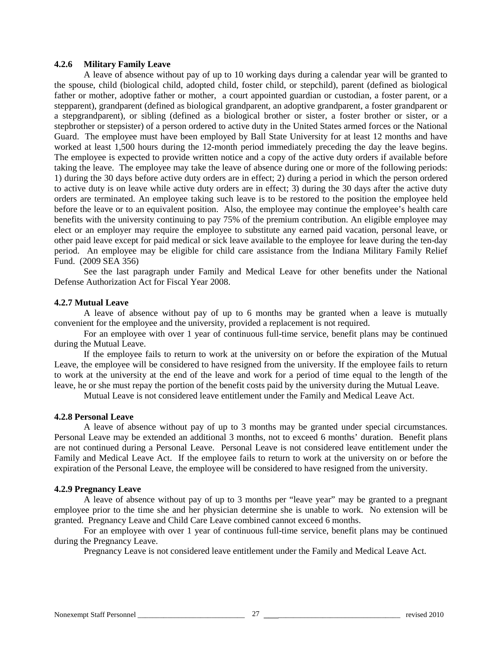#### **4.2.6 Military Family Leave**

A leave of absence without pay of up to 10 working days during a calendar year will be granted to the spouse, child (biological child, adopted child, foster child, or stepchild), parent (defined as biological father or mother, adoptive father or mother, a court appointed guardian or custodian, a foster parent, or a stepparent), grandparent (defined as biological grandparent, an adoptive grandparent, a foster grandparent or a stepgrandparent), or sibling (defined as a biological brother or sister, a foster brother or sister, or a stepbrother or stepsister) of a person ordered to active duty in the United States armed forces or the National Guard. The employee must have been employed by Ball State University for at least 12 months and have worked at least 1,500 hours during the 12-month period immediately preceding the day the leave begins. The employee is expected to provide written notice and a copy of the active duty orders if available before taking the leave. The employee may take the leave of absence during one or more of the following periods: 1) during the 30 days before active duty orders are in effect; 2) during a period in which the person ordered to active duty is on leave while active duty orders are in effect; 3) during the 30 days after the active duty orders are terminated. An employee taking such leave is to be restored to the position the employee held before the leave or to an equivalent position. Also, the employee may continue the employee's health care benefits with the university continuing to pay 75% of the premium contribution. An eligible employee may elect or an employer may require the employee to substitute any earned paid vacation, personal leave, or other paid leave except for paid medical or sick leave available to the employee for leave during the ten-day period. An employee may be eligible for child care assistance from the Indiana Military Family Relief Fund. (2009 SEA 356)

See the last paragraph under Family and Medical Leave for other benefits under the National Defense Authorization Act for Fiscal Year 2008.

## **4.2.7 Mutual Leave**

A leave of absence without pay of up to 6 months may be granted when a leave is mutually convenient for the employee and the university, provided a replacement is not required.

For an employee with over 1 year of continuous full-time service, benefit plans may be continued during the Mutual Leave.

If the employee fails to return to work at the university on or before the expiration of the Mutual Leave, the employee will be considered to have resigned from the university. If the employee fails to return to work at the university at the end of the leave and work for a period of time equal to the length of the leave, he or she must repay the portion of the benefit costs paid by the university during the Mutual Leave.

Mutual Leave is not considered leave entitlement under the Family and Medical Leave Act.

## **4.2.8 Personal Leave**

A leave of absence without pay of up to 3 months may be granted under special circumstances. Personal Leave may be extended an additional 3 months, not to exceed 6 months' duration. Benefit plans are not continued during a Personal Leave. Personal Leave is not considered leave entitlement under the Family and Medical Leave Act. If the employee fails to return to work at the university on or before the expiration of the Personal Leave, the employee will be considered to have resigned from the university.

## **4.2.9 Pregnancy Leave**

A leave of absence without pay of up to 3 months per "leave year" may be granted to a pregnant employee prior to the time she and her physician determine she is unable to work. No extension will be granted. Pregnancy Leave and Child Care Leave combined cannot exceed 6 months.

For an employee with over 1 year of continuous full-time service, benefit plans may be continued during the Pregnancy Leave.

Pregnancy Leave is not considered leave entitlement under the Family and Medical Leave Act.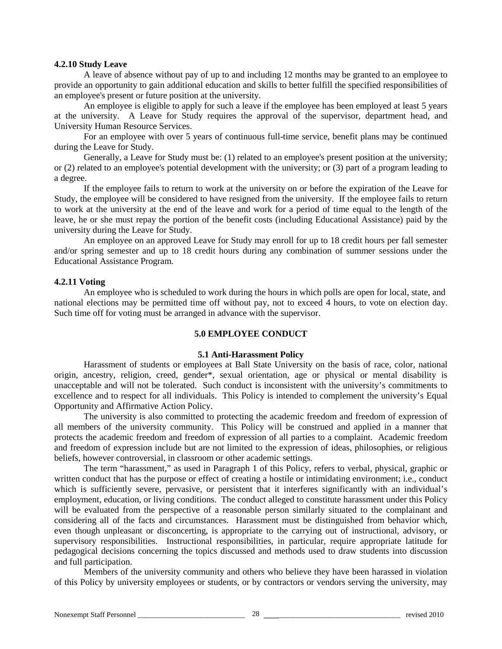#### **4.2.10 Study Leave**

A leave of absence without pay of up to and including 12 months may be granted to an employee to provide an opportunity to gain additional education and skills to better fulfill the specified responsibilities of an employee's present or future position at the university.

An employee is eligible to apply for such a leave if the employee has been employed at least 5 years at the university. A Leave for Study requires the approval of the supervisor, department head, and University Human Resource Services.

For an employee with over 5 years of continuous full-time service, benefit plans may be continued during the Leave for Study.

Generally, a Leave for Study must be: (1) related to an employee's present position at the university; or (2) related to an employee's potential development with the university; or (3) part of a program leading to a degree.

If the employee fails to return to work at the university on or before the expiration of the Leave for Study, the employee will be considered to have resigned from the university. If the employee fails to return to work at the university at the end of the leave and work for a period of time equal to the length of the leave, he or she must repay the portion of the benefit costs (including Educational Assistance) paid by the university during the Leave for Study.

An employee on an approved Leave for Study may enroll for up to 18 credit hours per fall semester and/or spring semester and up to 18 credit hours during any combination of summer sessions under the Educational Assistance Program.

## **4.2.11 Voting**

An employee who is scheduled to work during the hours in which polls are open for local, state, and national elections may be permitted time off without pay, not to exceed 4 hours, to vote on election day. Such time off for voting must be arranged in advance with the supervisor.

## **5.0 EMPLOYEE CONDUCT**

## **5.1 Anti-Harassment Policy**

Harassment of students or employees at Ball State University on the basis of race, color, national origin, ancestry, religion, creed, gender\*, sexual orientation, age or physical or mental disability is unacceptable and will not be tolerated. Such conduct is inconsistent with the university's commitments to excellence and to respect for all individuals. This Policy is intended to complement the university's Equal Opportunity and Affirmative Action Policy.

The university is also committed to protecting the academic freedom and freedom of expression of all members of the university community. This Policy will be construed and applied in a manner that protects the academic freedom and freedom of expression of all parties to a complaint. Academic freedom and freedom of expression include but are not limited to the expression of ideas, philosophies, or religious beliefs, however controversial, in classroom or other academic settings.

The term "harassment," as used in Paragraph 1 of this Policy, refers to verbal, physical, graphic or written conduct that has the purpose or effect of creating a hostile or intimidating environment; i.e., conduct which is sufficiently severe, pervasive, or persistent that it interferes significantly with an individual's employment, education, or living conditions. The conduct alleged to constitute harassment under this Policy will be evaluated from the perspective of a reasonable person similarly situated to the complainant and considering all of the facts and circumstances. Harassment must be distinguished from behavior which, even though unpleasant or disconcerting, is appropriate to the carrying out of instructional, advisory, or supervisory responsibilities. Instructional responsibilities, in particular, require appropriate latitude for pedagogical decisions concerning the topics discussed and methods used to draw students into discussion and full participation.

Members of the university community and others who believe they have been harassed in violation of this Policy by university employees or students, or by contractors or vendors serving the university, may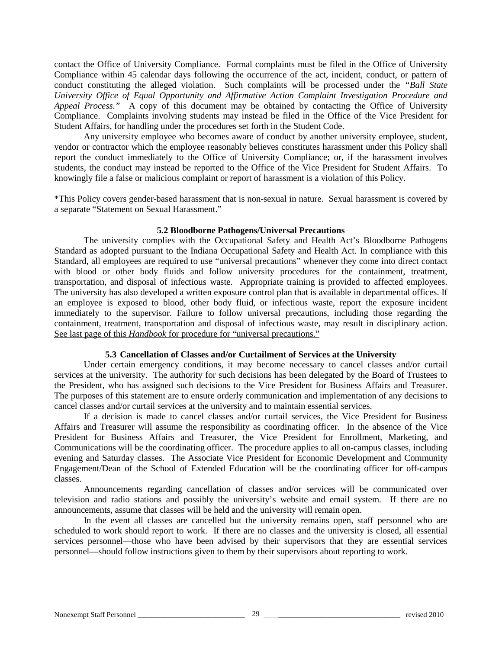contact the Office of University Compliance. Formal complaints must be filed in the Office of University Compliance within 45 calendar days following the occurrence of the act, incident, conduct, or pattern of conduct constituting the alleged violation. Such complaints will be processed under the *"Ball State University Office of Equal Opportunity and Affirmative Action Complaint Investigation Procedure and Appeal Process."* A copy of this document may be obtained by contacting the Office of University Compliance. Complaints involving students may instead be filed in the Office of the Vice President for Student Affairs, for handling under the procedures set forth in the Student Code.

Any university employee who becomes aware of conduct by another university employee, student, vendor or contractor which the employee reasonably believes constitutes harassment under this Policy shall report the conduct immediately to the Office of University Compliance; or, if the harassment involves students, the conduct may instead be reported to the Office of the Vice President for Student Affairs. To knowingly file a false or malicious complaint or report of harassment is a violation of this Policy.

\*This Policy covers gender-based harassment that is non-sexual in nature. Sexual harassment is covered by a separate "Statement on Sexual Harassment."

#### **5.2 Bloodborne Pathogens/Universal Precautions**

The university complies with the Occupational Safety and Health Act's Bloodborne Pathogens Standard as adopted pursuant to the Indiana Occupational Safety and Health Act. In compliance with this Standard, all employees are required to use "universal precautions" whenever they come into direct contact with blood or other body fluids and follow university procedures for the containment, treatment, transportation, and disposal of infectious waste. Appropriate training is provided to affected employees. The university has also developed a written exposure control plan that is available in departmental offices. If an employee is exposed to blood, other body fluid, or infectious waste, report the exposure incident immediately to the supervisor. Failure to follow universal precautions, including those regarding the containment, treatment, transportation and disposal of infectious waste, may result in disciplinary action. See last page of this *Handbook* for procedure for "universal precautions."

#### **5.3 Cancellation of Classes and/or Curtailment of Services at the University**

Under certain emergency conditions, it may become necessary to cancel classes and/or curtail services at the university. The authority for such decisions has been delegated by the Board of Trustees to the President, who has assigned such decisions to the Vice President for Business Affairs and Treasurer. The purposes of this statement are to ensure orderly communication and implementation of any decisions to cancel classes and/or curtail services at the university and to maintain essential services.

If a decision is made to cancel classes and/or curtail services, the Vice President for Business Affairs and Treasurer will assume the responsibility as coordinating officer. In the absence of the Vice President for Business Affairs and Treasurer, the Vice President for Enrollment, Marketing, and Communications will be the coordinating officer. The procedure applies to all on-campus classes, including evening and Saturday classes. The Associate Vice President for Economic Development and Community Engagement/Dean of the School of Extended Education will be the coordinating officer for off-campus classes.

Announcements regarding cancellation of classes and/or services will be communicated over television and radio stations and possibly the university's website and email system. If there are no announcements, assume that classes will be held and the university will remain open.

In the event all classes are cancelled but the university remains open, staff personnel who are scheduled to work should report to work. If there are no classes and the university is closed, all essential services personnel—those who have been advised by their supervisors that they are essential services personnel—should follow instructions given to them by their supervisors about reporting to work.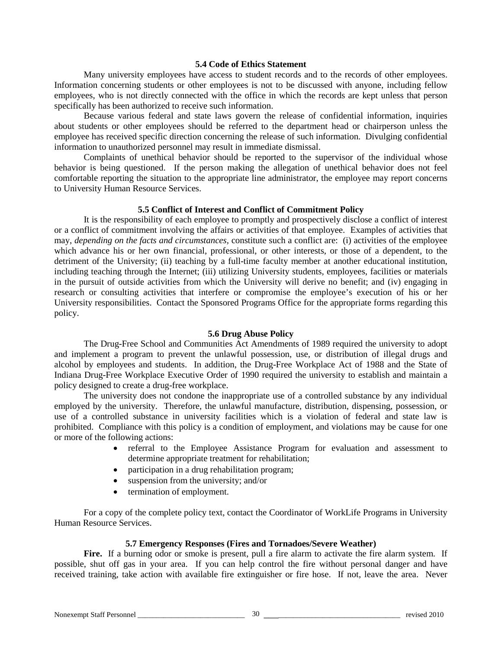#### **5.4 Code of Ethics Statement**

Many university employees have access to student records and to the records of other employees. Information concerning students or other employees is not to be discussed with anyone, including fellow employees, who is not directly connected with the office in which the records are kept unless that person specifically has been authorized to receive such information.

Because various federal and state laws govern the release of confidential information, inquiries about students or other employees should be referred to the department head or chairperson unless the employee has received specific direction concerning the release of such information. Divulging confidential information to unauthorized personnel may result in immediate dismissal.

Complaints of unethical behavior should be reported to the supervisor of the individual whose behavior is being questioned. If the person making the allegation of unethical behavior does not feel comfortable reporting the situation to the appropriate line administrator, the employee may report concerns to University Human Resource Services.

## **5.5 Conflict of Interest and Conflict of Commitment Policy**

It is the responsibility of each employee to promptly and prospectively disclose a conflict of interest or a conflict of commitment involving the affairs or activities of that employee. Examples of activities that may, *depending on the facts and circumstances,* constitute such a conflict are: (i) activities of the employee which advance his or her own financial, professional, or other interests, or those of a dependent, to the detriment of the University; (ii) teaching by a full-time faculty member at another educational institution, including teaching through the Internet; (iii) utilizing University students, employees, facilities or materials in the pursuit of outside activities from which the University will derive no benefit; and (iv) engaging in research or consulting activities that interfere or compromise the employee's execution of his or her University responsibilities. Contact the Sponsored Programs Office for the appropriate forms regarding this policy.

## **5.6 Drug Abuse Policy**

The Drug-Free School and Communities Act Amendments of 1989 required the university to adopt and implement a program to prevent the unlawful possession, use, or distribution of illegal drugs and alcohol by employees and students. In addition, the Drug-Free Workplace Act of 1988 and the State of Indiana Drug-Free Workplace Executive Order of 1990 required the university to establish and maintain a policy designed to create a drug-free workplace.

The university does not condone the inappropriate use of a controlled substance by any individual employed by the university. Therefore, the unlawful manufacture, distribution, dispensing, possession, or use of a controlled substance in university facilities which is a violation of federal and state law is prohibited. Compliance with this policy is a condition of employment, and violations may be cause for one or more of the following actions:

- referral to the Employee Assistance Program for evaluation and assessment to determine appropriate treatment for rehabilitation;
- participation in a drug rehabilitation program;
- suspension from the university; and/or
- termination of employment.

For a copy of the complete policy text, contact the Coordinator of WorkLife Programs in University Human Resource Services.

## **5.7 Emergency Responses (Fires and Tornadoes/Severe Weather)**

Fire. If a burning odor or smoke is present, pull a fire alarm to activate the fire alarm system. If possible, shut off gas in your area. If you can help control the fire without personal danger and have received training, take action with available fire extinguisher or fire hose. If not, leave the area. Never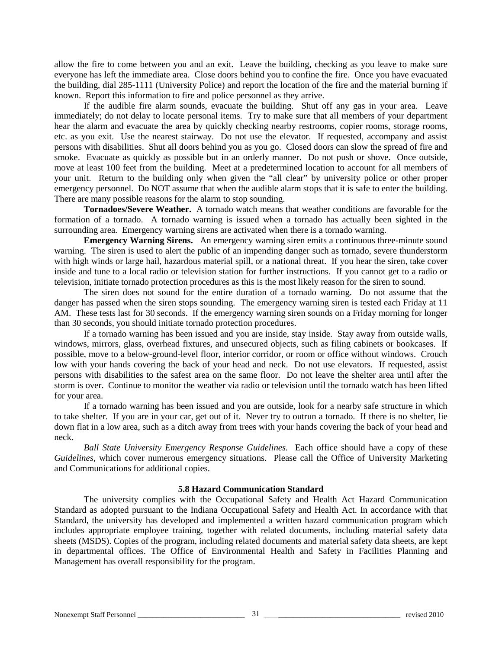allow the fire to come between you and an exit. Leave the building, checking as you leave to make sure everyone has left the immediate area. Close doors behind you to confine the fire. Once you have evacuated the building, dial 285-1111 (University Police) and report the location of the fire and the material burning if known. Report this information to fire and police personnel as they arrive.

If the audible fire alarm sounds, evacuate the building. Shut off any gas in your area. Leave immediately; do not delay to locate personal items. Try to make sure that all members of your department hear the alarm and evacuate the area by quickly checking nearby restrooms, copier rooms, storage rooms, etc. as you exit. Use the nearest stairway. Do not use the elevator. If requested, accompany and assist persons with disabilities. Shut all doors behind you as you go. Closed doors can slow the spread of fire and smoke. Evacuate as quickly as possible but in an orderly manner. Do not push or shove. Once outside, move at least 100 feet from the building. Meet at a predetermined location to account for all members of your unit. Return to the building only when given the "all clear" by university police or other proper emergency personnel. Do NOT assume that when the audible alarm stops that it is safe to enter the building. There are many possible reasons for the alarm to stop sounding.

**Tornadoes/Severe Weather.** A tornado watch means that weather conditions are favorable for the formation of a tornado. A tornado warning is issued when a tornado has actually been sighted in the surrounding area. Emergency warning sirens are activated when there is a tornado warning.

**Emergency Warning Sirens.** An emergency warning siren emits a continuous three-minute sound warning. The siren is used to alert the public of an impending danger such as tornado, severe thunderstorm with high winds or large hail, hazardous material spill, or a national threat. If you hear the siren, take cover inside and tune to a local radio or television station for further instructions. If you cannot get to a radio or television, initiate tornado protection procedures as this is the most likely reason for the siren to sound.

The siren does not sound for the entire duration of a tornado warning. Do not assume that the danger has passed when the siren stops sounding. The emergency warning siren is tested each Friday at 11 AM. These tests last for 30 seconds. If the emergency warning siren sounds on a Friday morning for longer than 30 seconds, you should initiate tornado protection procedures.

If a tornado warning has been issued and you are inside, stay inside. Stay away from outside walls, windows, mirrors, glass, overhead fixtures, and unsecured objects, such as filing cabinets or bookcases. If possible, move to a below-ground-level floor, interior corridor, or room or office without windows. Crouch low with your hands covering the back of your head and neck. Do not use elevators. If requested, assist persons with disabilities to the safest area on the same floor. Do not leave the shelter area until after the storm is over. Continue to monitor the weather via radio or television until the tornado watch has been lifted for your area.

If a tornado warning has been issued and you are outside, look for a nearby safe structure in which to take shelter. If you are in your car, get out of it. Never try to outrun a tornado. If there is no shelter, lie down flat in a low area, such as a ditch away from trees with your hands covering the back of your head and neck.

*Ball State University Emergency Response Guidelines.* Each office should have a copy of these *Guidelines,* which cover numerous emergency situations. Please call the Office of University Marketing and Communications for additional copies.

## **5.8 Hazard Communication Standard**

The university complies with the Occupational Safety and Health Act Hazard Communication Standard as adopted pursuant to the Indiana Occupational Safety and Health Act. In accordance with that Standard, the university has developed and implemented a written hazard communication program which includes appropriate employee training, together with related documents, including material safety data sheets (MSDS). Copies of the program, including related documents and material safety data sheets, are kept in departmental offices. The Office of Environmental Health and Safety in Facilities Planning and Management has overall responsibility for the program.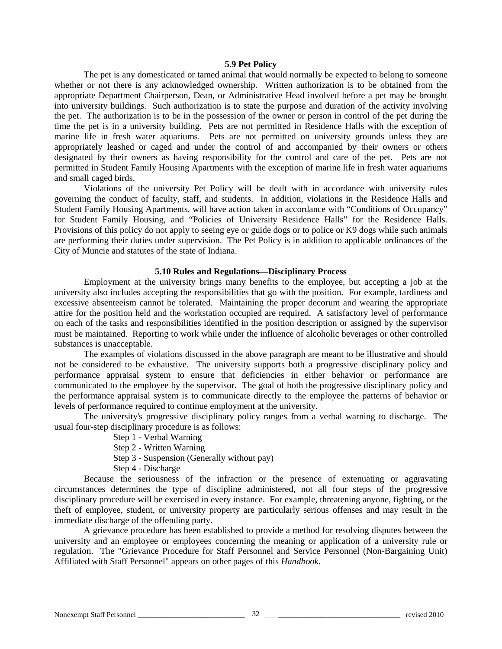#### **5.9 Pet Policy**

The pet is any domesticated or tamed animal that would normally be expected to belong to someone whether or not there is any acknowledged ownership. Written authorization is to be obtained from the appropriate Department Chairperson, Dean, or Administrative Head involved before a pet may be brought into university buildings. Such authorization is to state the purpose and duration of the activity involving the pet. The authorization is to be in the possession of the owner or person in control of the pet during the time the pet is in a university building. Pets are not permitted in Residence Halls with the exception of marine life in fresh water aquariums. Pets are not permitted on university grounds unless they are appropriately leashed or caged and under the control of and accompanied by their owners or others designated by their owners as having responsibility for the control and care of the pet. Pets are not permitted in Student Family Housing Apartments with the exception of marine life in fresh water aquariums and small caged birds.

Violations of the university Pet Policy will be dealt with in accordance with university rules governing the conduct of faculty, staff, and students. In addition, violations in the Residence Halls and Student Family Housing Apartments, will have action taken in accordance with "Conditions of Occupancy" for Student Family Housing, and "Policies of University Residence Halls" for the Residence Halls. Provisions of this policy do not apply to seeing eye or guide dogs or to police or K9 dogs while such animals are performing their duties under supervision. The Pet Policy is in addition to applicable ordinances of the City of Muncie and statutes of the state of Indiana.

#### **5.10 Rules and Regulations—Disciplinary Process**

Employment at the university brings many benefits to the employee, but accepting a job at the university also includes accepting the responsibilities that go with the position. For example, tardiness and excessive absenteeism cannot be tolerated. Maintaining the proper decorum and wearing the appropriate attire for the position held and the workstation occupied are required. A satisfactory level of performance on each of the tasks and responsibilities identified in the position description or assigned by the supervisor must be maintained. Reporting to work while under the influence of alcoholic beverages or other controlled substances is unacceptable.

The examples of violations discussed in the above paragraph are meant to be illustrative and should not be considered to be exhaustive. The university supports both a progressive disciplinary policy and performance appraisal system to ensure that deficiencies in either behavior or performance are communicated to the employee by the supervisor. The goal of both the progressive disciplinary policy and the performance appraisal system is to communicate directly to the employee the patterns of behavior or levels of performance required to continue employment at the university.

The university's progressive disciplinary policy ranges from a verbal warning to discharge. The usual four-step disciplinary procedure is as follows:

Step 1 - Verbal Warning

Step 2 - Written Warning

Step 3 - Suspension (Generally without pay)

Step 4 - Discharge

Because the seriousness of the infraction or the presence of extenuating or aggravating circumstances determines the type of discipline administered, not all four steps of the progressive disciplinary procedure will be exercised in every instance. For example, threatening anyone, fighting, or the theft of employee, student, or university property are particularly serious offenses and may result in the immediate discharge of the offending party.

A grievance procedure has been established to provide a method for resolving disputes between the university and an employee or employees concerning the meaning or application of a university rule or regulation. The "Grievance Procedure for Staff Personnel and Service Personnel (Non-Bargaining Unit) Affiliated with Staff Personnel" appears on other pages of this *Handbook*.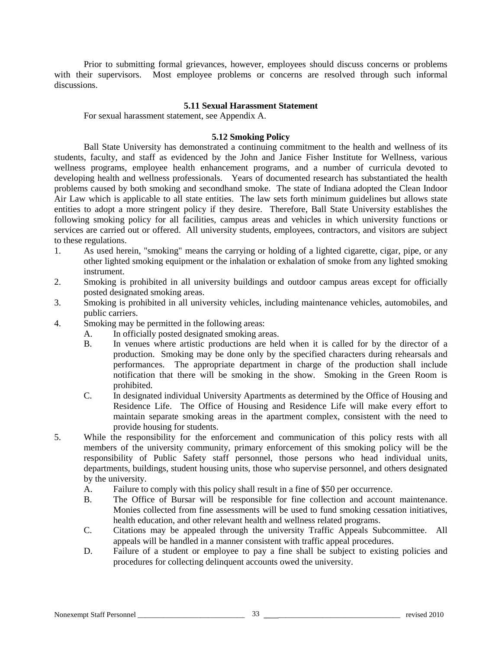Prior to submitting formal grievances, however, employees should discuss concerns or problems with their supervisors. Most employee problems or concerns are resolved through such informal discussions.

## **5.11 Sexual Harassment Statement**

For sexual harassment statement, see Appendix A.

## **5.12 Smoking Policy**

Ball State University has demonstrated a continuing commitment to the health and wellness of its students, faculty, and staff as evidenced by the John and Janice Fisher Institute for Wellness, various wellness programs, employee health enhancement programs, and a number of curricula devoted to developing health and wellness professionals. Years of documented research has substantiated the health problems caused by both smoking and secondhand smoke. The state of Indiana adopted the Clean Indoor Air Law which is applicable to all state entities. The law sets forth minimum guidelines but allows state entities to adopt a more stringent policy if they desire. Therefore, Ball State University establishes the following smoking policy for all facilities, campus areas and vehicles in which university functions or services are carried out or offered. All university students, employees, contractors, and visitors are subject to these regulations.

- 1. As used herein, "smoking" means the carrying or holding of a lighted cigarette, cigar, pipe, or any other lighted smoking equipment or the inhalation or exhalation of smoke from any lighted smoking instrument.
- 2. Smoking is prohibited in all university buildings and outdoor campus areas except for officially posted designated smoking areas.
- 3. Smoking is prohibited in all university vehicles, including maintenance vehicles, automobiles, and public carriers.
- 4. Smoking may be permitted in the following areas:
	- A. In officially posted designated smoking areas.
	- B. In venues where artistic productions are held when it is called for by the director of a production. Smoking may be done only by the specified characters during rehearsals and performances. The appropriate department in charge of the production shall include notification that there will be smoking in the show. Smoking in the Green Room is prohibited.
	- C. In designated individual University Apartments as determined by the Office of Housing and Residence Life. The Office of Housing and Residence Life will make every effort to maintain separate smoking areas in the apartment complex, consistent with the need to provide housing for students.
- 5. While the responsibility for the enforcement and communication of this policy rests with all members of the university community, primary enforcement of this smoking policy will be the responsibility of Public Safety staff personnel, those persons who head individual units, departments, buildings, student housing units, those who supervise personnel, and others designated by the university.
	- A. Failure to comply with this policy shall result in a fine of \$50 per occurrence.
	- B. The Office of Bursar will be responsible for fine collection and account maintenance. Monies collected from fine assessments will be used to fund smoking cessation initiatives, health education, and other relevant health and wellness related programs.
	- C. Citations may be appealed through the university Traffic Appeals Subcommittee. All appeals will be handled in a manner consistent with traffic appeal procedures.
	- D. Failure of a student or employee to pay a fine shall be subject to existing policies and procedures for collecting delinquent accounts owed the university.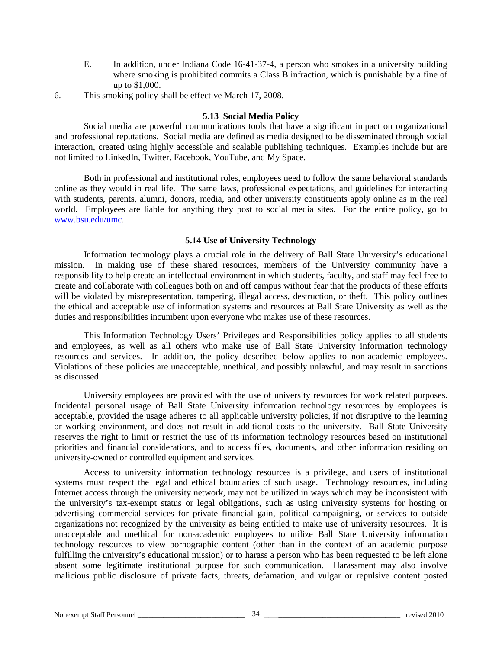- E. In addition, under Indiana Code 16-41-37-4, a person who smokes in a university building where smoking is prohibited commits a Class B infraction, which is punishable by a fine of up to \$1,000.
- 6. This smoking policy shall be effective March 17, 2008.

#### **5.13 Social Media Policy**

Social media are powerful communications tools that have a significant impact on organizational and professional reputations. Social media are defined as media designed to be disseminated through social interaction, created using highly accessible and scalable publishing techniques. Examples include but are not limited to LinkedIn, Twitter, Facebook, YouTube, and My Space.

Both in professional and institutional roles, employees need to follow the same behavioral standards online as they would in real life. The same laws, professional expectations, and guidelines for interacting with students, parents, alumni, donors, media, and other university constituents apply online as in the real world. Employees are liable for anything they post to social media sites. For the entire policy, go to [www.bsu.edu/umc.](http://www.bsu.edu/umc)

## **5.14 Use of University Technology**

Information technology plays a crucial role in the delivery of Ball State University's educational mission. In making use of these shared resources, members of the University community have a responsibility to help create an intellectual environment in which students, faculty, and staff may feel free to create and collaborate with colleagues both on and off campus without fear that the products of these efforts will be violated by misrepresentation, tampering, illegal access, destruction, or theft. This policy outlines the ethical and acceptable use of information systems and resources at Ball State University as well as the duties and responsibilities incumbent upon everyone who makes use of these resources.

This Information Technology Users' Privileges and Responsibilities policy applies to all students and employees, as well as all others who make use of Ball State University information technology resources and services. In addition, the policy described below applies to non-academic employees. Violations of these policies are unacceptable, unethical, and possibly unlawful, and may result in sanctions as discussed.

University employees are provided with the use of university resources for work related purposes. Incidental personal usage of Ball State University information technology resources by employees is acceptable, provided the usage adheres to all applicable university policies, if not disruptive to the learning or working environment, and does not result in additional costs to the university. Ball State University reserves the right to limit or restrict the use of its information technology resources based on institutional priorities and financial considerations, and to access files, documents, and other information residing on university-owned or controlled equipment and services.

Access to university information technology resources is a privilege, and users of institutional systems must respect the legal and ethical boundaries of such usage. Technology resources, including Internet access through the university network, may not be utilized in ways which may be inconsistent with the university's tax-exempt status or legal obligations, such as using university systems for hosting or advertising commercial services for private financial gain, political campaigning, or services to outside organizations not recognized by the university as being entitled to make use of university resources. It is unacceptable and unethical for non-academic employees to utilize Ball State University information technology resources to view pornographic content (other than in the context of an academic purpose fulfilling the university's educational mission) or to harass a person who has been requested to be left alone absent some legitimate institutional purpose for such communication. Harassment may also involve malicious public disclosure of private facts, threats, defamation, and vulgar or repulsive content posted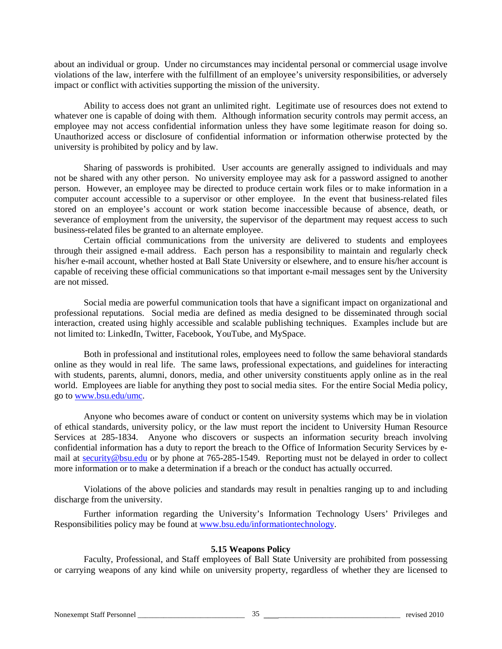about an individual or group. Under no circumstances may incidental personal or commercial usage involve violations of the law, interfere with the fulfillment of an employee's university responsibilities, or adversely impact or conflict with activities supporting the mission of the university.

Ability to access does not grant an unlimited right. Legitimate use of resources does not extend to whatever one is capable of doing with them. Although information security controls may permit access, an employee may not access confidential information unless they have some legitimate reason for doing so. Unauthorized access or disclosure of confidential information or information otherwise protected by the university is prohibited by policy and by law.

Sharing of passwords is prohibited. User accounts are generally assigned to individuals and may not be shared with any other person. No university employee may ask for a password assigned to another person. However, an employee may be directed to produce certain work files or to make information in a computer account accessible to a supervisor or other employee. In the event that business-related files stored on an employee's account or work station become inaccessible because of absence, death, or severance of employment from the university, the supervisor of the department may request access to such business-related files be granted to an alternate employee.

Certain official communications from the university are delivered to students and employees through their assigned e-mail address. Each person has a responsibility to maintain and regularly check his/her e-mail account, whether hosted at Ball State University or elsewhere, and to ensure his/her account is capable of receiving these official communications so that important e-mail messages sent by the University are not missed.

Social media are powerful communication tools that have a significant impact on organizational and professional reputations. Social media are defined as media designed to be disseminated through social interaction, created using highly accessible and scalable publishing techniques. Examples include but are not limited to: LinkedIn, Twitter, Facebook, YouTube, and MySpace.

Both in professional and institutional roles, employees need to follow the same behavioral standards online as they would in real life. The same laws, professional expectations, and guidelines for interacting with students, parents, alumni, donors, media, and other university constituents apply online as in the real world. Employees are liable for anything they post to social media sites. For the entire Social Media policy, go to [www.bsu.edu/umc.](http://www.bsu.edu/umc)

Anyone who becomes aware of conduct or content on university systems which may be in violation of ethical standards, university policy, or the law must report the incident to University Human Resource Services at 285-1834. Anyone who discovers or suspects an information security breach involving confidential information has a duty to report the breach to the Office of Information Security Services by email at [security@bsu.edu](mailto:security@bsu.edu) or by phone at 765-285-1549. Reporting must not be delayed in order to collect more information or to make a determination if a breach or the conduct has actually occurred.

Violations of the above policies and standards may result in penalties ranging up to and including discharge from the university.

Further information regarding the University's Information Technology Users' Privileges and Responsibilities policy may be found at [www.bsu.edu/informationtechnology.](http://www.bsu.edu/informationtechnology)

## **5.15 Weapons Policy**

Faculty, Professional, and Staff employees of Ball State University are prohibited from possessing or carrying weapons of any kind while on university property, regardless of whether they are licensed to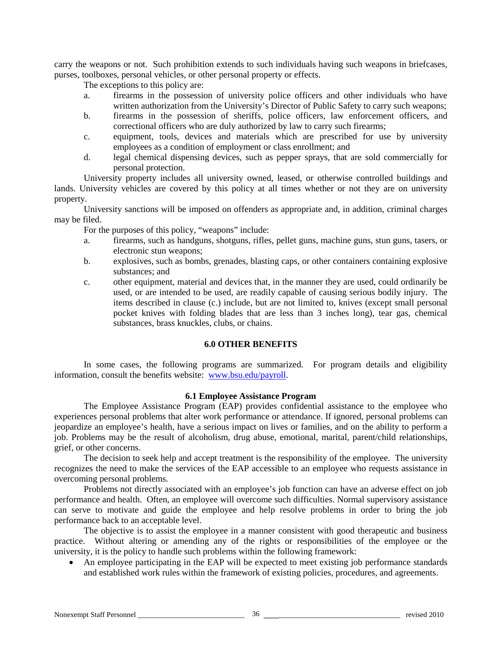carry the weapons or not. Such prohibition extends to such individuals having such weapons in briefcases, purses, toolboxes, personal vehicles, or other personal property or effects.

The exceptions to this policy are:

- a. firearms in the possession of university police officers and other individuals who have written authorization from the University's Director of Public Safety to carry such weapons;
- b. firearms in the possession of sheriffs, police officers, law enforcement officers, and correctional officers who are duly authorized by law to carry such firearms;
- c. equipment, tools, devices and materials which are prescribed for use by university employees as a condition of employment or class enrollment; and
- d. legal chemical dispensing devices, such as pepper sprays, that are sold commercially for personal protection.

University property includes all university owned, leased, or otherwise controlled buildings and lands. University vehicles are covered by this policy at all times whether or not they are on university property.

University sanctions will be imposed on offenders as appropriate and, in addition, criminal charges may be filed.

For the purposes of this policy, "weapons" include:

- a. firearms, such as handguns, shotguns, rifles, pellet guns, machine guns, stun guns, tasers, or electronic stun weapons;
- b. explosives, such as bombs, grenades, blasting caps, or other containers containing explosive substances; and
- c. other equipment, material and devices that, in the manner they are used, could ordinarily be used, or are intended to be used, are readily capable of causing serious bodily injury. The items described in clause (c.) include, but are not limited to, knives (except small personal pocket knives with folding blades that are less than 3 inches long), tear gas, chemical substances, brass knuckles, clubs, or chains.

#### **6.0 OTHER BENEFITS**

In some cases, the following programs are summarized. For program details and eligibility information, consult the benefits website: [www.bsu.edu/payroll.](http://www.bsu.edu/payroll)

#### **6.1 Employee Assistance Program**

The Employee Assistance Program (EAP) provides confidential assistance to the employee who experiences personal problems that alter work performance or attendance. If ignored, personal problems can jeopardize an employee's health, have a serious impact on lives or families, and on the ability to perform a job. Problems may be the result of alcoholism, drug abuse, emotional, marital, parent/child relationships, grief, or other concerns.

The decision to seek help and accept treatment is the responsibility of the employee. The university recognizes the need to make the services of the EAP accessible to an employee who requests assistance in overcoming personal problems.

Problems not directly associated with an employee's job function can have an adverse effect on job performance and health. Often, an employee will overcome such difficulties. Normal supervisory assistance can serve to motivate and guide the employee and help resolve problems in order to bring the job performance back to an acceptable level.

The objective is to assist the employee in a manner consistent with good therapeutic and business practice. Without altering or amending any of the rights or responsibilities of the employee or the university, it is the policy to handle such problems within the following framework:

• An employee participating in the EAP will be expected to meet existing job performance standards and established work rules within the framework of existing policies, procedures, and agreements.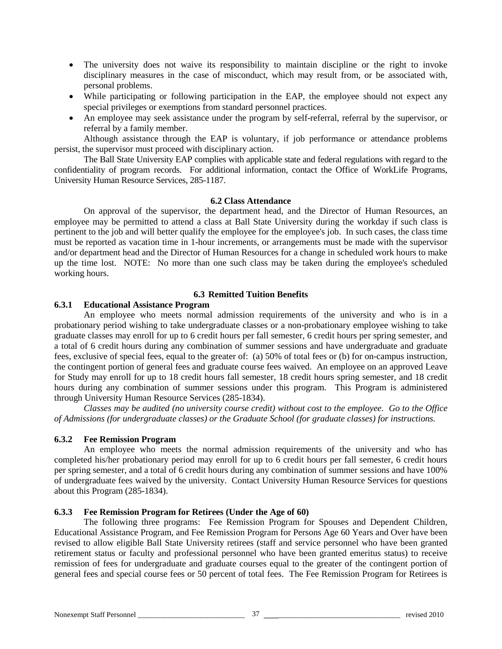- The university does not waive its responsibility to maintain discipline or the right to invoke disciplinary measures in the case of misconduct, which may result from, or be associated with, personal problems.
- While participating or following participation in the EAP, the employee should not expect any special privileges or exemptions from standard personnel practices.
- An employee may seek assistance under the program by self-referral, referral by the supervisor, or referral by a family member.

Although assistance through the EAP is voluntary, if job performance or attendance problems persist, the supervisor must proceed with disciplinary action.

The Ball State University EAP complies with applicable state and federal regulations with regard to the confidentiality of program records. For additional information, contact the Office of WorkLife Programs, University Human Resource Services, 285-1187.

#### **6.2 Class Attendance**

On approval of the supervisor, the department head, and the Director of Human Resources, an employee may be permitted to attend a class at Ball State University during the workday if such class is pertinent to the job and will better qualify the employee for the employee's job. In such cases, the class time must be reported as vacation time in 1-hour increments, or arrangements must be made with the supervisor and/or department head and the Director of Human Resources for a change in scheduled work hours to make up the time lost. NOTE: No more than one such class may be taken during the employee's scheduled working hours.

## **6.3 Remitted Tuition Benefits**

## **6.3.1 Educational Assistance Program**

An employee who meets normal admission requirements of the university and who is in a probationary period wishing to take undergraduate classes or a non-probationary employee wishing to take graduate classes may enroll for up to 6 credit hours per fall semester, 6 credit hours per spring semester, and a total of 6 credit hours during any combination of summer sessions and have undergraduate and graduate fees, exclusive of special fees, equal to the greater of: (a) 50% of total fees or (b) for on-campus instruction, the contingent portion of general fees and graduate course fees waived. An employee on an approved Leave for Study may enroll for up to 18 credit hours fall semester, 18 credit hours spring semester, and 18 credit hours during any combination of summer sessions under this program. This Program is administered through University Human Resource Services (285-1834).

*Classes may be audited (no university course credit) without cost to the employee. Go to the Office of Admissions (for undergraduate classes) or the Graduate School (for graduate classes) for instructions.*

## **6.3.2 Fee Remission Program**

An employee who meets the normal admission requirements of the university and who has completed his/her probationary period may enroll for up to 6 credit hours per fall semester, 6 credit hours per spring semester, and a total of 6 credit hours during any combination of summer sessions and have 100% of undergraduate fees waived by the university. Contact University Human Resource Services for questions about this Program (285-1834).

## **6.3.3 Fee Remission Program for Retirees (Under the Age of 60)**

The following three programs: Fee Remission Program for Spouses and Dependent Children, Educational Assistance Program, and Fee Remission Program for Persons Age 60 Years and Over have been revised to allow eligible Ball State University retirees (staff and service personnel who have been granted retirement status or faculty and professional personnel who have been granted emeritus status) to receive remission of fees for undergraduate and graduate courses equal to the greater of the contingent portion of general fees and special course fees or 50 percent of total fees. The Fee Remission Program for Retirees is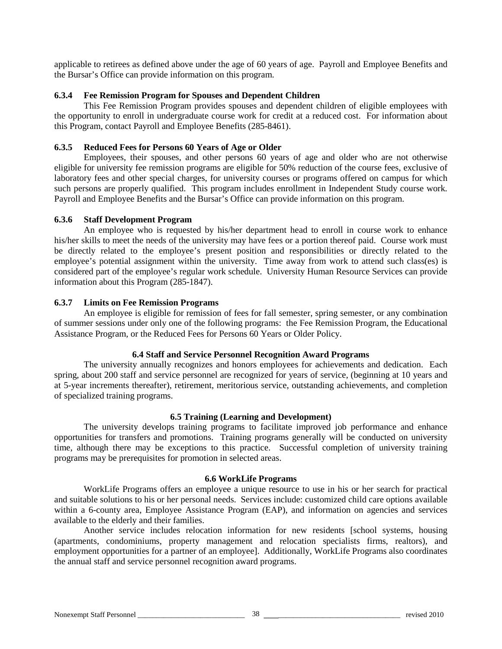applicable to retirees as defined above under the age of 60 years of age. Payroll and Employee Benefits and the Bursar's Office can provide information on this program.

## **6.3.4 Fee Remission Program for Spouses and Dependent Children**

This Fee Remission Program provides spouses and dependent children of eligible employees with the opportunity to enroll in undergraduate course work for credit at a reduced cost. For information about this Program, contact Payroll and Employee Benefits (285-8461).

## **6.3.5 Reduced Fees for Persons 60 Years of Age or Older**

Employees, their spouses, and other persons 60 years of age and older who are not otherwise eligible for university fee remission programs are eligible for 50% reduction of the course fees, exclusive of laboratory fees and other special charges, for university courses or programs offered on campus for which such persons are properly qualified. This program includes enrollment in Independent Study course work. Payroll and Employee Benefits and the Bursar's Office can provide information on this program.

## **6.3.6 Staff Development Program**

An employee who is requested by his/her department head to enroll in course work to enhance his/her skills to meet the needs of the university may have fees or a portion thereof paid. Course work must be directly related to the employee's present position and responsibilities or directly related to the employee's potential assignment within the university. Time away from work to attend such class(es) is considered part of the employee's regular work schedule. University Human Resource Services can provide information about this Program (285-1847).

## **6.3.7 Limits on Fee Remission Programs**

An employee is eligible for remission of fees for fall semester, spring semester, or any combination of summer sessions under only one of the following programs: the Fee Remission Program, the Educational Assistance Program, or the Reduced Fees for Persons 60 Years or Older Policy.

## **6.4 Staff and Service Personnel Recognition Award Programs**

The university annually recognizes and honors employees for achievements and dedication. Each spring, about 200 staff and service personnel are recognized for years of service, (beginning at 10 years and at 5-year increments thereafter), retirement, meritorious service, outstanding achievements, and completion of specialized training programs.

## **6.5 Training (Learning and Development)**

The university develops training programs to facilitate improved job performance and enhance opportunities for transfers and promotions. Training programs generally will be conducted on university time, although there may be exceptions to this practice. Successful completion of university training programs may be prerequisites for promotion in selected areas.

## **6.6 WorkLife Programs**

WorkLife Programs offers an employee a unique resource to use in his or her search for practical and suitable solutions to his or her personal needs. Services include: customized child care options available within a 6-county area, Employee Assistance Program (EAP), and information on agencies and services available to the elderly and their families.

Another service includes relocation information for new residents [school systems, housing (apartments, condominiums, property management and relocation specialists firms, realtors), and employment opportunities for a partner of an employee]. Additionally, WorkLife Programs also coordinates the annual staff and service personnel recognition award programs.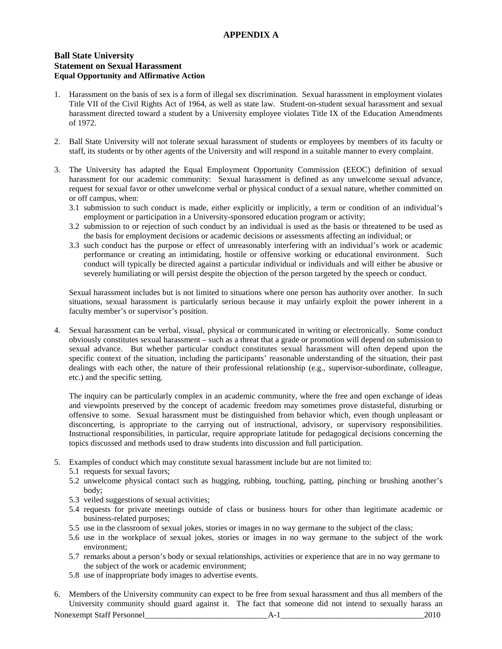## **Ball State University Statement on Sexual Harassment Equal Opportunity and Affirmative Action**

- 1. Harassment on the basis of sex is a form of illegal sex discrimination. Sexual harassment in employment violates Title VII of the Civil Rights Act of 1964, as well as state law. Student-on-student sexual harassment and sexual harassment directed toward a student by a University employee violates Title IX of the Education Amendments of 1972.
- 2. Ball State University will not tolerate sexual harassment of students or employees by members of its faculty or staff, its students or by other agents of the University and will respond in a suitable manner to every complaint.
- 3. The University has adapted the Equal Employment Opportunity Commission (EEOC) definition of sexual harassment for our academic community: Sexual harassment is defined as any unwelcome sexual advance, request for sexual favor or other unwelcome verbal or physical conduct of a sexual nature, whether committed on or off campus, when:
	- 3.1 submission to such conduct is made, either explicitly or implicitly, a term or condition of an individual's employment or participation in a University-sponsored education program or activity;
	- 3.2 submission to or rejection of such conduct by an individual is used as the basis or threatened to be used as the basis for employment decisions or academic decisions or assessments affecting an individual; or
	- 3.3 such conduct has the purpose or effect of unreasonably interfering with an individual's work or academic performance or creating an intimidating, hostile or offensive working or educational environment. Such conduct will typically be directed against a particular individual or individuals and will either be abusive or severely humiliating or will persist despite the objection of the person targeted by the speech or conduct.

Sexual harassment includes but is not limited to situations where one person has authority over another. In such situations, sexual harassment is particularly serious because it may unfairly exploit the power inherent in a faculty member's or supervisor's position.

4. Sexual harassment can be verbal, visual, physical or communicated in writing or electronically. Some conduct obviously constitutes sexual harassment – such as a threat that a grade or promotion will depend on submission to sexual advance. But whether particular conduct constitutes sexual harassment will often depend upon the specific context of the situation, including the participants' reasonable understanding of the situation, their past dealings with each other, the nature of their professional relationship (e.g., supervisor-subordinate, colleague, etc.) and the specific setting.

The inquiry can be particularly complex in an academic community, where the free and open exchange of ideas and viewpoints preserved by the concept of academic freedom may sometimes prove distasteful, disturbing or offensive to some. Sexual harassment must be distinguished from behavior which, even though unpleasant or disconcerting, is appropriate to the carrying out of instructional, advisory, or supervisory responsibilities. Instructional responsibilities, in particular, require appropriate latitude for pedagogical decisions concerning the topics discussed and methods used to draw students into discussion and full participation.

- 5. Examples of conduct which may constitute sexual harassment include but are not limited to:
	- 5.1 requests for sexual favors;
	- 5.2 unwelcome physical contact such as hugging, rubbing, touching, patting, pinching or brushing another's body;
	- 5.3 veiled suggestions of sexual activities;
	- 5.4 requests for private meetings outside of class or business hours for other than legitimate academic or business-related purposes;
	- 5.5 use in the classroom of sexual jokes, stories or images in no way germane to the subject of the class;
	- 5.6 use in the workplace of sexual jokes, stories or images in no way germane to the subject of the work environment;
	- 5.7 remarks about a person's body or sexual relationships, activities or experience that are in no way germane to the subject of the work or academic environment;
	- 5.8 use of inappropriate body images to advertise events.
- 6. Members of the University community can expect to be free from sexual harassment and thus all members of the University community should guard against it. The fact that someone did not intend to sexually harass an

Nonexempt Staff Personnel and the set of the set of the set of the set of the set of the set of the set of the set of the set of the set of the set of the set of the set of the set of the set of the set of the set of the s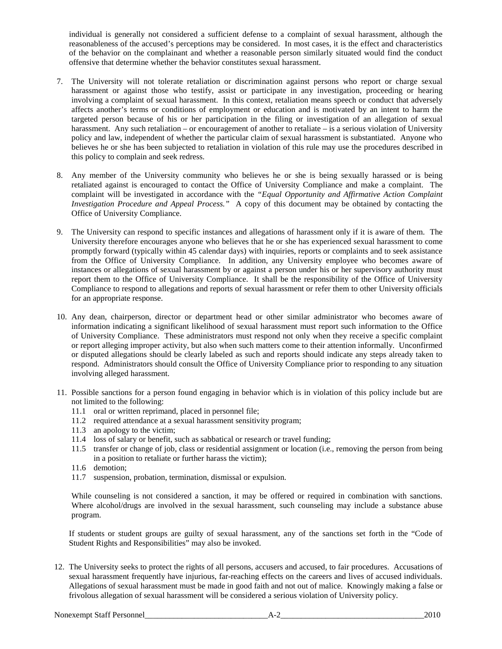individual is generally not considered a sufficient defense to a complaint of sexual harassment, although the reasonableness of the accused's perceptions may be considered. In most cases, it is the effect and characteristics of the behavior on the complainant and whether a reasonable person similarly situated would find the conduct offensive that determine whether the behavior constitutes sexual harassment.

- 7. The University will not tolerate retaliation or discrimination against persons who report or charge sexual harassment or against those who testify, assist or participate in any investigation, proceeding or hearing involving a complaint of sexual harassment. In this context, retaliation means speech or conduct that adversely affects another's terms or conditions of employment or education and is motivated by an intent to harm the targeted person because of his or her participation in the filing or investigation of an allegation of sexual harassment. Any such retaliation – or encouragement of another to retaliate – is a serious violation of University policy and law, independent of whether the particular claim of sexual harassment is substantiated. Anyone who believes he or she has been subjected to retaliation in violation of this rule may use the procedures described in this policy to complain and seek redress.
- 8. Any member of the University community who believes he or she is being sexually harassed or is being retaliated against is encouraged to contact the Office of University Compliance and make a complaint. The complaint will be investigated in accordance with the *"Equal Opportunity and Affirmative Action Complaint Investigation Procedure and Appeal Process."* A copy of this document may be obtained by contacting the Office of University Compliance.
- 9. The University can respond to specific instances and allegations of harassment only if it is aware of them. The University therefore encourages anyone who believes that he or she has experienced sexual harassment to come promptly forward (typically within 45 calendar days) with inquiries, reports or complaints and to seek assistance from the Office of University Compliance. In addition, any University employee who becomes aware of instances or allegations of sexual harassment by or against a person under his or her supervisory authority must report them to the Office of University Compliance. It shall be the responsibility of the Office of University Compliance to respond to allegations and reports of sexual harassment or refer them to other University officials for an appropriate response.
- 10. Any dean, chairperson, director or department head or other similar administrator who becomes aware of information indicating a significant likelihood of sexual harassment must report such information to the Office of University Compliance. These administrators must respond not only when they receive a specific complaint or report alleging improper activity, but also when such matters come to their attention informally. Unconfirmed or disputed allegations should be clearly labeled as such and reports should indicate any steps already taken to respond. Administrators should consult the Office of University Compliance prior to responding to any situation involving alleged harassment.
- 11. Possible sanctions for a person found engaging in behavior which is in violation of this policy include but are not limited to the following:
	- 11.1 oral or written reprimand, placed in personnel file;
	- 11.2 required attendance at a sexual harassment sensitivity program;
	- 11.3 an apology to the victim;
	- 11.4 loss of salary or benefit, such as sabbatical or research or travel funding;
	- 11.5 transfer or change of job, class or residential assignment or location (i.e., removing the person from being in a position to retaliate or further harass the victim);
	- 11.6 demotion;
	- 11.7 suspension, probation, termination, dismissal or expulsion.

While counseling is not considered a sanction, it may be offered or required in combination with sanctions. Where alcohol/drugs are involved in the sexual harassment, such counseling may include a substance abuse program.

If students or student groups are guilty of sexual harassment, any of the sanctions set forth in the "Code of Student Rights and Responsibilities" may also be invoked.

12. The University seeks to protect the rights of all persons, accusers and accused, to fair procedures. Accusations of sexual harassment frequently have injurious, far-reaching effects on the careers and lives of accused individuals. Allegations of sexual harassment must be made in good faith and not out of malice. Knowingly making a false or frivolous allegation of sexual harassment will be considered a serious violation of University policy.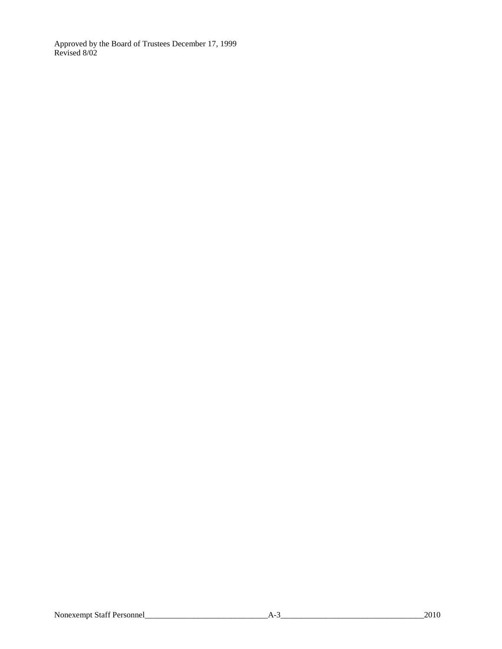Approved by the Board of Trustees December 17, 1999 Revised 8/02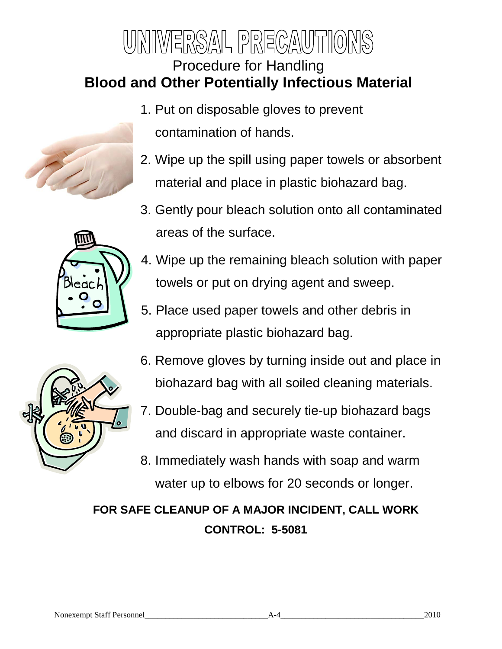## $|\exists \mathbb{R} \Im \beta / \Delta || \sqcup \mathbb{P} \Im \mathbb{R}$ Procedure for Handling **Blood and Other Potentially Infectious Material**

- 1. Put on disposable gloves to prevent contamination of hands.
- 2. Wipe up the spill using paper towels or absorbent material and place in plastic biohazard bag.
- 3. Gently pour bleach solution onto all contaminated areas of the surface.



R

- 4. Wipe up the remaining bleach solution with paper towels or put on drying agent and sweep.
- 5. Place used paper towels and other debris in appropriate plastic biohazard bag.



- 6. Remove gloves by turning inside out and place in biohazard bag with all soiled cleaning materials.
- 7. Double-bag and securely tie-up biohazard bags and discard in appropriate waste container.
- 8. Immediately wash hands with soap and warm water up to elbows for 20 seconds or longer.

## **FOR SAFE CLEANUP OF A MAJOR INCIDENT, CALL WORK CONTROL: 5-5081**